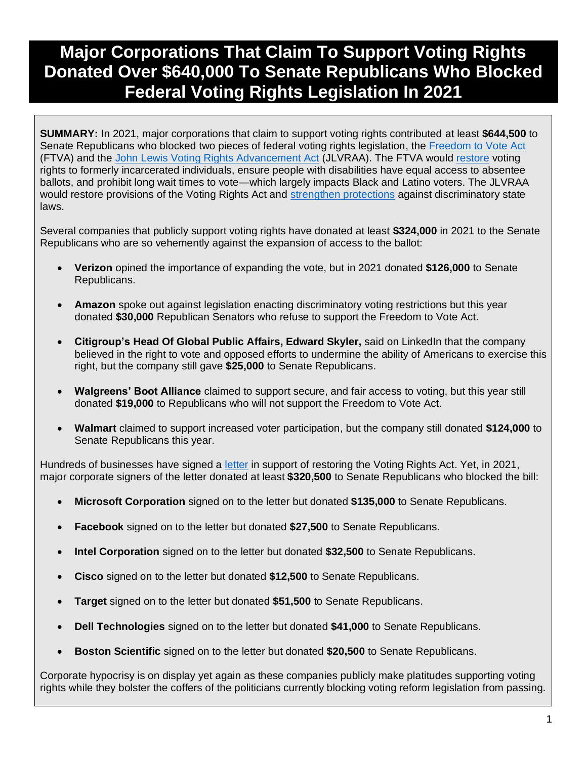# **Major Corporations That Claim To Support Voting Rights Donated Over \$640,000 To Senate Republicans Who Blocked Federal Voting Rights Legislation In 2021**

**SUMMARY:** In 2021, major corporations that claim to support voting rights contributed at least **\$644,500** to Senate Republicans who blocked two pieces of federal voting rights legislation, the [Freedom to Vote Act](https://www.cnn.com/2021/10/20/politics/senate-freedom-to-vote-act-republicans/index.html) (FTVA) and the [John Lewis Voting Rights Advancement Act](https://www.cnn.com/2021/11/03/politics/john-lewis-voting-rights-act-senate-vote/index.html) (JLVRAA). The FTVA woul[d restore](https://www.brennancenter.org/our-work/research-reports/freedom-vote-act) voting rights to formerly incarcerated individuals, ensure people with disabilities have equal access to absentee ballots, and prohibit long wait times to vote—which largely impacts Black and Latino voters. The JLVRAA would restore provisions of the Voting Rights Act and [strengthen protections](https://www.brennancenter.org/our-work/analysis-opinion/fight-voting-rights-moves-senate) against discriminatory state laws.

Several companies that publicly support voting rights have donated at least **\$324,000** in 2021 to the Senate Republicans who are so vehemently against the expansion of access to the ballot:

- **Verizon** opined the importance of expanding the vote, but in 2021 donated **\$126,000** to Senate Republicans.
- **Amazon** spoke out against legislation enacting discriminatory voting restrictions but this year donated **\$30,000** Republican Senators who refuse to support the Freedom to Vote Act.
- **Citigroup's Head Of Global Public Affairs, Edward Skyler,** said on LinkedIn that the company believed in the right to vote and opposed efforts to undermine the ability of Americans to exercise this right, but the company still gave **\$25,000** to Senate Republicans.
- **Walgreens' Boot Alliance** claimed to support secure, and fair access to voting, but this year still donated **\$19,000** to Republicans who will not support the Freedom to Vote Act.
- **Walmart** claimed to support increased voter participation, but the company still donated **\$124,000** to Senate Republicans this year.

Hundreds of businesses have signed a [letter](https://www.businessforvotingrights.com/letter-to-congress) in support of restoring the Voting Rights Act. Yet, in 2021, major corporate signers of the letter donated at least **\$320,500** to Senate Republicans who blocked the bill:

- **Microsoft Corporation** signed on to the letter but donated **\$135,000** to Senate Republicans.
- **Facebook** signed on to the letter but donated **\$27,500** to Senate Republicans.
- **Intel Corporation** signed on to the letter but donated **\$32,500** to Senate Republicans.
- **Cisco** signed on to the letter but donated **\$12,500** to Senate Republicans.
- **Target** signed on to the letter but donated **\$51,500** to Senate Republicans.
- **Dell Technologies** signed on to the letter but donated **\$41,000** to Senate Republicans.
- **Boston Scientific** signed on to the letter but donated **\$20,500** to Senate Republicans.

Corporate hypocrisy is on display yet again as these companies publicly make platitudes supporting voting rights while they bolster the coffers of the politicians currently blocking voting reform legislation from passing.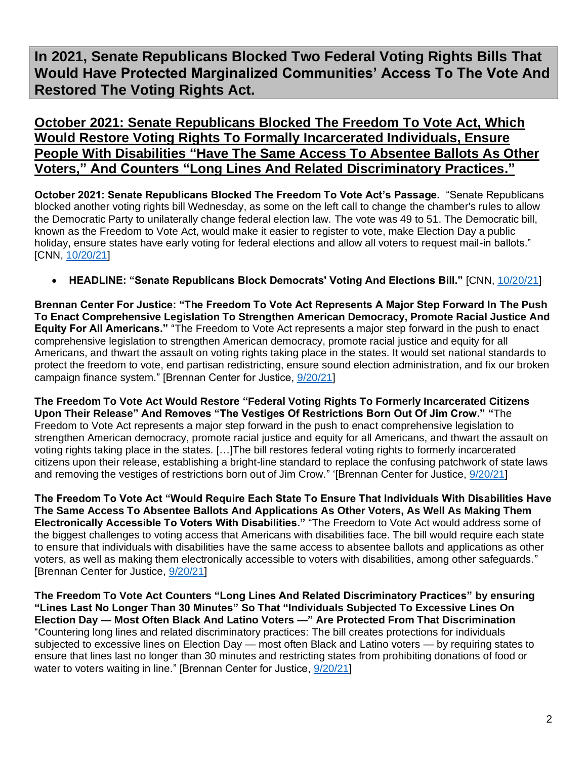**In 2021, Senate Republicans Blocked Two Federal Voting Rights Bills That Would Have Protected Marginalized Communities' Access To The Vote And Restored The Voting Rights Act.**

**October 2021: Senate Republicans Blocked The Freedom To Vote Act, Which Would Restore Voting Rights To Formally Incarcerated Individuals, Ensure People With Disabilities "Have The Same Access To Absentee Ballots As Other Voters," And Counters "Long Lines And Related Discriminatory Practices."**

**October 2021: Senate Republicans Blocked The Freedom To Vote Act's Passage.** "Senate Republicans blocked another voting rights bill Wednesday, as some on the left call to change the chamber's rules to allow the Democratic Party to unilaterally change federal election law. The vote was 49 to 51. The Democratic bill, known as the Freedom to Vote Act, would make it easier to register to vote, make Election Day a public holiday, ensure states have early voting for federal elections and allow all voters to request mail-in ballots." [CNN, [10/20/21\]](https://www.cnn.com/2021/10/20/politics/senate-freedom-to-vote-act-republicans/index.html)

• **HEADLINE: "Senate Republicans Block Democrats' Voting And Elections Bill."** [CNN, [10/20/21\]](https://www.cnn.com/2021/10/20/politics/senate-freedom-to-vote-act-republicans/index.html)

**Brennan Center For Justice: "The Freedom To Vote Act Represents A Major Step Forward In The Push To Enact Comprehensive Legislation To Strengthen American Democracy, Promote Racial Justice And Equity For All Americans."** "The Freedom to Vote Act represents a major step forward in the push to enact comprehensive legislation to strengthen American democracy, promote racial justice and equity for all Americans, and thwart the assault on voting rights taking place in the states. It would set national standards to protect the freedom to vote, end partisan redistricting, ensure sound election administration, and fix our broken campaign finance system." [Brennan Center for Justice, [9/20/21\]](https://www.brennancenter.org/our-work/research-reports/freedom-vote-act)

**The Freedom To Vote Act Would Restore "Federal Voting Rights To Formerly Incarcerated Citizens Upon Their Release" And Removes "The Vestiges Of Restrictions Born Out Of Jim Crow." "**The Freedom to Vote Act represents a major step forward in the push to enact comprehensive legislation to strengthen American democracy, promote racial justice and equity for all Americans, and thwart the assault on voting rights taking place in the states. […]The bill restores federal voting rights to formerly incarcerated citizens upon their release, establishing a bright-line standard to replace the confusing patchwork of state laws and removing the vestiges of restrictions born out of Jim Crow." '[Brennan Center for Justice, [9/20/21\]](https://www.brennancenter.org/our-work/research-reports/freedom-vote-act)

**The Freedom To Vote Act "Would Require Each State To Ensure That Individuals With Disabilities Have The Same Access To Absentee Ballots And Applications As Other Voters, As Well As Making Them Electronically Accessible To Voters With Disabilities."** "The Freedom to Vote Act would address some of the biggest challenges to voting access that Americans with disabilities face. The bill would require each state to ensure that individuals with disabilities have the same access to absentee ballots and applications as other voters, as well as making them electronically accessible to voters with disabilities, among other safeguards." [Brennan Center for Justice, [9/20/21\]](https://www.brennancenter.org/our-work/research-reports/freedom-vote-act)

**The Freedom To Vote Act Counters "Long Lines And Related Discriminatory Practices" by ensuring "Lines Last No Longer Than 30 Minutes" So That "Individuals Subjected To Excessive Lines On Election Day — Most Often Black And Latino Voters —" Are Protected From That Discrimination**  "Countering long lines and related discriminatory practices: The bill creates protections for individuals subjected to excessive lines on Election Day — most often Black and Latino voters — by requiring states to ensure that lines last no longer than 30 minutes and restricting states from prohibiting donations of food or water to voters waiting in line." [Brennan Center for Justice, [9/20/21\]](https://www.brennancenter.org/our-work/research-reports/freedom-vote-act)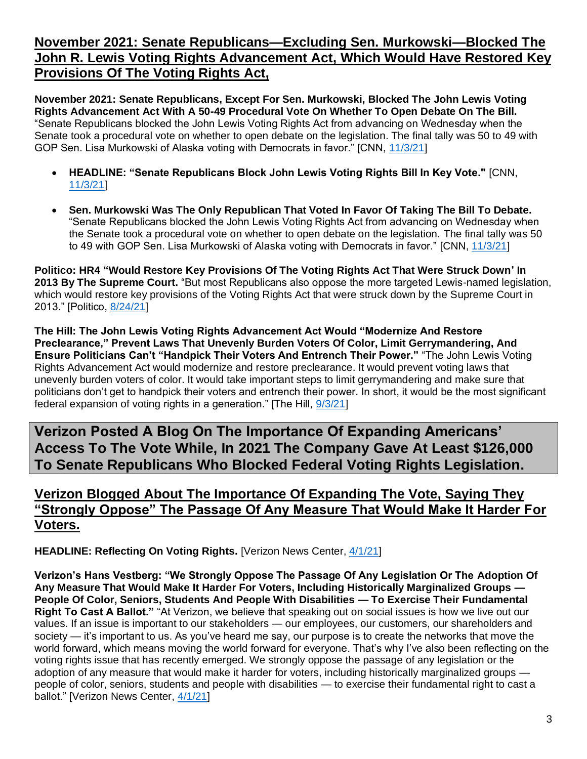### **November 2021: Senate Republicans—Excluding Sen. Murkowski—Blocked The John R. Lewis Voting Rights Advancement Act, Which Would Have Restored Key Provisions Of The Voting Rights Act,**

**November 2021: Senate Republicans, Except For Sen. Murkowski, Blocked The John Lewis Voting Rights Advancement Act With A 50-49 Procedural Vote On Whether To Open Debate On The Bill.**  "Senate Republicans blocked the John Lewis Voting Rights Act from advancing on Wednesday when the Senate took a procedural vote on whether to open debate on the legislation. The final tally was 50 to 49 with GOP Sen. Lisa Murkowski of Alaska voting with Democrats in favor." [CNN, [11/3/21\]](https://www.cnn.com/2021/11/03/politics/john-lewis-voting-rights-act-senate-vote/index.html)

- **HEADLINE: "Senate Republicans Block John Lewis Voting Rights Bill In Key Vote."** [CNN, [11/3/21\]](https://www.cnn.com/2021/11/03/politics/john-lewis-voting-rights-act-senate-vote/index.html)
- **Sen. Murkowski Was The Only Republican That Voted In Favor Of Taking The Bill To Debate.**  "Senate Republicans blocked the John Lewis Voting Rights Act from advancing on Wednesday when the Senate took a procedural vote on whether to open debate on the legislation. The final tally was 50 to 49 with GOP Sen. Lisa Murkowski of Alaska voting with Democrats in favor." [CNN, [11/3/21\]](https://www.cnn.com/2021/11/03/politics/john-lewis-voting-rights-act-senate-vote/index.html)

**Politico: HR4 "Would Restore Key Provisions Of The Voting Rights Act That Were Struck Down' In 2013 By The Supreme Court.** "But most Republicans also oppose the more targeted Lewis-named legislation, which would restore key provisions of the Voting Rights Act that were struck down by the Supreme Court in 2013." [Politico, [8/24/21\]](https://www.politico.com/news/2021/08/24/house-passes-lewis-voting-rights-bill-506798)

**The Hill: The John Lewis Voting Rights Advancement Act Would "Modernize And Restore Preclearance," Prevent Laws That Unevenly Burden Voters Of Color, Limit Gerrymandering, And Ensure Politicians Can't "Handpick Their Voters And Entrench Their Power."** "The John Lewis Voting Rights Advancement Act would modernize and restore preclearance. It would prevent voting laws that unevenly burden voters of color. It would take important steps to limit gerrymandering and make sure that politicians don't get to handpick their voters and entrench their power. In short, it would be the most significant federal expansion of voting rights in a generation." [The Hill, [9/3/21\]](https://thehill.com/opinion/campaign/570688-hr-4-carries-forward-the-legacy-of-congressman-john-lewis)

**Verizon Posted A Blog On The Importance Of Expanding Americans' Access To The Vote While, In 2021 The Company Gave At Least \$126,000 To Senate Republicans Who Blocked Federal Voting Rights Legislation.** 

### **Verizon Blogged About The Importance Of Expanding The Vote, Saying They "Strongly Oppose" The Passage Of Any Measure That Would Make It Harder For Voters.**

**HEADLINE: Reflecting On Voting Rights.** [Verizon News Center, [4/1/21\]](https://www.verizon.com/about/news/speed-reflecting-on-voting-rights)

**Verizon's Hans Vestberg: "We Strongly Oppose The Passage Of Any Legislation Or The Adoption Of Any Measure That Would Make It Harder For Voters, Including Historically Marginalized Groups — People Of Color, Seniors, Students And People With Disabilities — To Exercise Their Fundamental Right To Cast A Ballot."** "At Verizon, we believe that speaking out on social issues is how we live out our values. If an issue is important to our stakeholders — our employees, our customers, our shareholders and society — it's important to us. As you've heard me say, our purpose is to create the networks that move the world forward, which means moving the world forward for everyone. That's why I've also been reflecting on the voting rights issue that has recently emerged. We strongly oppose the passage of any legislation or the adoption of any measure that would make it harder for voters, including historically marginalized groups people of color, seniors, students and people with disabilities — to exercise their fundamental right to cast a ballot." [Verizon News Center, [4/1/21\]](https://www.verizon.com/about/news/speed-reflecting-on-voting-rights)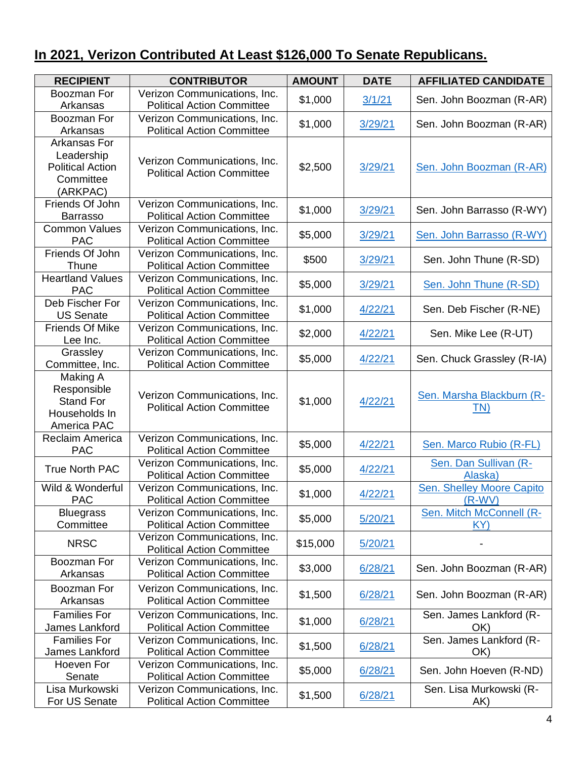## **In 2021, Verizon Contributed At Least \$126,000 To Senate Republicans.**

| <b>RECIPIENT</b>                                                               | <b>CONTRIBUTOR</b>                                                | <b>AMOUNT</b> | <b>DATE</b> | <b>AFFILIATED CANDIDATE</b>                  |
|--------------------------------------------------------------------------------|-------------------------------------------------------------------|---------------|-------------|----------------------------------------------|
| Boozman For<br>Arkansas                                                        | Verizon Communications, Inc.<br><b>Political Action Committee</b> | \$1,000       | 3/1/21      | Sen. John Boozman (R-AR)                     |
| Boozman For<br>Arkansas                                                        | Verizon Communications, Inc.<br><b>Political Action Committee</b> | \$1,000       | 3/29/21     | Sen. John Boozman (R-AR)                     |
| Arkansas For<br>Leadership<br><b>Political Action</b><br>Committee<br>(ARKPAC) | Verizon Communications, Inc.<br><b>Political Action Committee</b> | \$2,500       | 3/29/21     | Sen. John Boozman (R-AR)                     |
| Friends Of John<br><b>Barrasso</b>                                             | Verizon Communications, Inc.<br><b>Political Action Committee</b> | \$1,000       | 3/29/21     | Sen. John Barrasso (R-WY)                    |
| <b>Common Values</b><br><b>PAC</b>                                             | Verizon Communications, Inc.<br><b>Political Action Committee</b> | \$5,000       | 3/29/21     | Sen. John Barrasso (R-WY)                    |
| Friends Of John<br>Thune                                                       | Verizon Communications, Inc.<br><b>Political Action Committee</b> | \$500         | 3/29/21     | Sen. John Thune (R-SD)                       |
| <b>Heartland Values</b><br><b>PAC</b>                                          | Verizon Communications, Inc.<br><b>Political Action Committee</b> | \$5,000       | 3/29/21     | Sen. John Thune (R-SD)                       |
| Deb Fischer For<br><b>US Senate</b>                                            | Verizon Communications, Inc.<br><b>Political Action Committee</b> | \$1,000       | 4/22/21     | Sen. Deb Fischer (R-NE)                      |
| Friends Of Mike<br>Lee Inc.                                                    | Verizon Communications, Inc.<br><b>Political Action Committee</b> | \$2,000       | 4/22/21     | Sen. Mike Lee (R-UT)                         |
| Grassley<br>Committee, Inc.                                                    | Verizon Communications, Inc.<br><b>Political Action Committee</b> | \$5,000       | 4/22/21     | Sen. Chuck Grassley (R-IA)                   |
| Making A<br>Responsible<br><b>Stand For</b><br>Households In<br>America PAC    | Verizon Communications, Inc.<br><b>Political Action Committee</b> | \$1,000       | 4/22/21     | Sen. Marsha Blackburn (R-<br>TN)             |
| Reclaim America<br><b>PAC</b>                                                  | Verizon Communications, Inc.<br><b>Political Action Committee</b> | \$5,000       | 4/22/21     | Sen. Marco Rubio (R-FL)                      |
| <b>True North PAC</b>                                                          | Verizon Communications, Inc.<br><b>Political Action Committee</b> | \$5,000       | 4/22/21     | Sen. Dan Sullivan (R-<br>Alaska)             |
| Wild & Wonderful<br><b>PAC</b>                                                 | Verizon Communications, Inc.<br><b>Political Action Committee</b> | \$1,000       | 4/22/21     | <b>Sen. Shelley Moore Capito</b><br>$(R-WV)$ |
| <b>Bluegrass</b><br>Committee                                                  | Verizon Communications, Inc.<br><b>Political Action Committee</b> | \$5,000       | 5/20/21     | Sen. Mitch McConnell (R-<br>KY)              |
| <b>NRSC</b>                                                                    | Verizon Communications, Inc.<br><b>Political Action Committee</b> | \$15,000      | 5/20/21     |                                              |
| Boozman For<br>Arkansas                                                        | Verizon Communications, Inc.<br><b>Political Action Committee</b> | \$3,000       | 6/28/21     | Sen. John Boozman (R-AR)                     |
| Boozman For<br>Arkansas                                                        | Verizon Communications, Inc.<br><b>Political Action Committee</b> | \$1,500       | 6/28/21     | Sen. John Boozman (R-AR)                     |
| <b>Families For</b><br>James Lankford                                          | Verizon Communications, Inc.<br><b>Political Action Committee</b> | \$1,000       | 6/28/21     | Sen. James Lankford (R-<br>OK)               |
| <b>Families For</b><br>James Lankford                                          | Verizon Communications, Inc.<br><b>Political Action Committee</b> | \$1,500       | 6/28/21     | Sen. James Lankford (R-<br>OK)               |
| Hoeven For<br>Senate                                                           | Verizon Communications, Inc.<br><b>Political Action Committee</b> | \$5,000       | 6/28/21     | Sen. John Hoeven (R-ND)                      |
| Lisa Murkowski<br>For US Senate                                                | Verizon Communications, Inc.<br><b>Political Action Committee</b> | \$1,500       | 6/28/21     | Sen. Lisa Murkowski (R-<br>AK)               |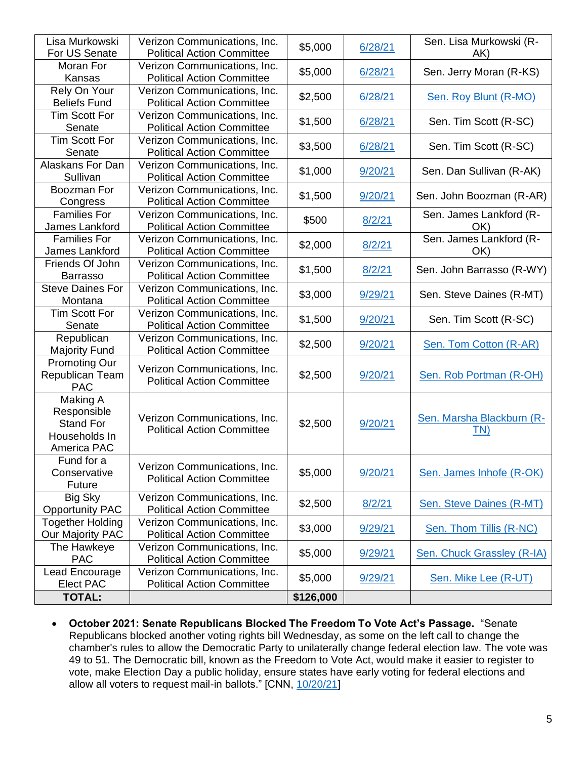| Lisa Murkowski                     | Verizon Communications, Inc.                                      |           |         | Sen. Lisa Murkowski (R-         |
|------------------------------------|-------------------------------------------------------------------|-----------|---------|---------------------------------|
| For US Senate                      | <b>Political Action Committee</b>                                 | \$5,000   | 6/28/21 | AK)                             |
| Moran For                          | Verizon Communications, Inc.                                      | \$5,000   | 6/28/21 | Sen. Jerry Moran (R-KS)         |
| Kansas                             | <b>Political Action Committee</b>                                 |           |         |                                 |
| Rely On Your                       | Verizon Communications, Inc.                                      | \$2,500   | 6/28/21 | Sen. Roy Blunt (R-MO)           |
| <b>Beliefs Fund</b>                | <b>Political Action Committee</b>                                 |           |         |                                 |
| <b>Tim Scott For</b><br>Senate     | Verizon Communications, Inc.<br><b>Political Action Committee</b> | \$1,500   | 6/28/21 | Sen. Tim Scott (R-SC)           |
| <b>Tim Scott For</b>               | Verizon Communications, Inc.                                      |           |         |                                 |
| Senate                             | <b>Political Action Committee</b>                                 | \$3,500   | 6/28/21 | Sen. Tim Scott (R-SC)           |
| Alaskans For Dan                   | Verizon Communications, Inc.                                      | \$1,000   | 9/20/21 | Sen. Dan Sullivan (R-AK)        |
| Sullivan                           | <b>Political Action Committee</b>                                 |           |         |                                 |
| Boozman For                        | Verizon Communications, Inc.                                      | \$1,500   | 9/20/21 | Sen. John Boozman (R-AR)        |
| Congress                           | <b>Political Action Committee</b>                                 |           |         |                                 |
| <b>Families For</b>                | Verizon Communications, Inc.                                      | \$500     | 8/2/21  | Sen. James Lankford (R-         |
| James Lankford                     | <b>Political Action Committee</b>                                 |           |         | OK)                             |
| <b>Families For</b>                | Verizon Communications, Inc.                                      | \$2,000   | 8/2/21  | Sen. James Lankford (R-         |
| James Lankford                     | <b>Political Action Committee</b>                                 |           |         | OK)                             |
| Friends Of John                    | Verizon Communications, Inc.                                      | \$1,500   | 8/2/21  | Sen. John Barrasso (R-WY)       |
| <b>Barrasso</b>                    | <b>Political Action Committee</b>                                 |           |         |                                 |
| <b>Steve Daines For</b><br>Montana | Verizon Communications, Inc.<br><b>Political Action Committee</b> | \$3,000   | 9/29/21 | Sen. Steve Daines (R-MT)        |
| <b>Tim Scott For</b>               | Verizon Communications, Inc.                                      |           |         |                                 |
| Senate                             | <b>Political Action Committee</b>                                 | \$1,500   | 9/20/21 | Sen. Tim Scott (R-SC)           |
| Republican                         | Verizon Communications, Inc.                                      |           |         |                                 |
| <b>Majority Fund</b>               | <b>Political Action Committee</b>                                 | \$2,500   | 9/20/21 | Sen. Tom Cotton (R-AR)          |
| <b>Promoting Our</b>               |                                                                   |           |         |                                 |
| Republican Team                    | Verizon Communications, Inc.<br><b>Political Action Committee</b> | \$2,500   | 9/20/21 | Sen. Rob Portman (R-OH)         |
| <b>PAC</b>                         |                                                                   |           |         |                                 |
| Making A                           |                                                                   |           |         |                                 |
| Responsible                        | Verizon Communications, Inc.                                      |           |         | Sen. Marsha Blackburn (R-       |
| <b>Stand For</b>                   | <b>Political Action Committee</b>                                 | \$2,500   | 9/20/21 | TN)                             |
| Households In                      |                                                                   |           |         |                                 |
| America PAC                        |                                                                   |           |         |                                 |
| Fund for a                         | Verizon Communications, Inc.                                      |           |         |                                 |
| Conservative                       | <b>Political Action Committee</b>                                 | \$5,000   | 9/20/21 | Sen. James Inhofe (R-OK)        |
| Future<br>Big Sky                  | Verizon Communications, Inc.                                      |           |         |                                 |
| <b>Opportunity PAC</b>             | <b>Political Action Committee</b>                                 | \$2,500   | 8/2/21  | <b>Sen. Steve Daines (R-MT)</b> |
| <b>Together Holding</b>            | Verizon Communications, Inc.                                      |           |         |                                 |
| Our Majority PAC                   | <b>Political Action Committee</b>                                 | \$3,000   | 9/29/21 | Sen. Thom Tillis (R-NC)         |
| The Hawkeye                        | Verizon Communications, Inc.                                      |           |         |                                 |
| <b>PAC</b>                         | <b>Political Action Committee</b>                                 | \$5,000   | 9/29/21 | Sen. Chuck Grassley (R-IA)      |
| Lead Encourage                     | Verizon Communications, Inc.                                      |           |         |                                 |
| Elect PAC                          | <b>Political Action Committee</b>                                 | \$5,000   | 9/29/21 | Sen. Mike Lee (R-UT)            |
| <b>TOTAL:</b>                      |                                                                   | \$126,000 |         |                                 |

• **October 2021: Senate Republicans Blocked The Freedom To Vote Act's Passage.** "Senate Republicans blocked another voting rights bill Wednesday, as some on the left call to change the chamber's rules to allow the Democratic Party to unilaterally change federal election law. The vote was 49 to 51. The Democratic bill, known as the Freedom to Vote Act, would make it easier to register to vote, make Election Day a public holiday, ensure states have early voting for federal elections and allow all voters to request mail-in ballots." [CNN, [10/20/21\]](https://www.cnn.com/2021/10/20/politics/senate-freedom-to-vote-act-republicans/index.html)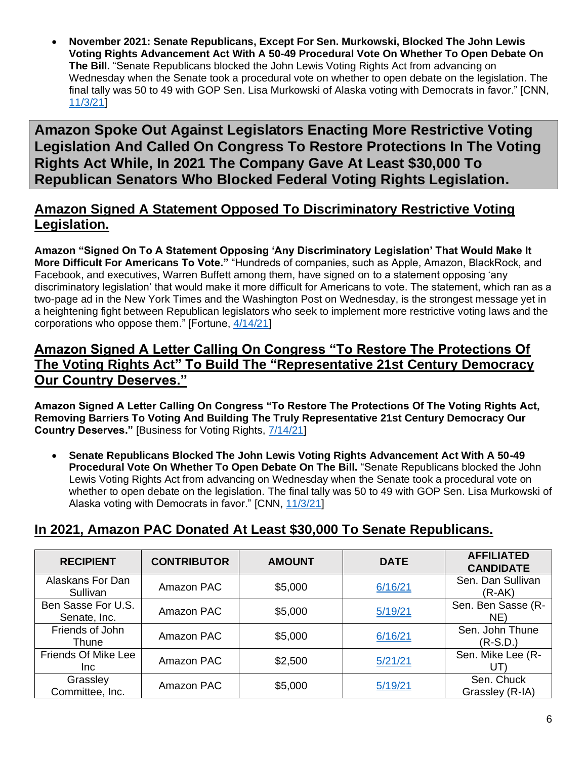• **November 2021: Senate Republicans, Except For Sen. Murkowski, Blocked The John Lewis Voting Rights Advancement Act With A 50-49 Procedural Vote On Whether To Open Debate On The Bill.** "Senate Republicans blocked the John Lewis Voting Rights Act from advancing on Wednesday when the Senate took a procedural vote on whether to open debate on the legislation. The final tally was 50 to 49 with GOP Sen. Lisa Murkowski of Alaska voting with Democrats in favor." [CNN, [11/3/21\]](https://www.cnn.com/2021/11/03/politics/john-lewis-voting-rights-act-senate-vote/index.html)

**Amazon Spoke Out Against Legislators Enacting More Restrictive Voting Legislation And Called On Congress To Restore Protections In The Voting Rights Act While, In 2021 The Company Gave At Least \$30,000 To Republican Senators Who Blocked Federal Voting Rights Legislation.**

### **Amazon Signed A Statement Opposed To Discriminatory Restrictive Voting Legislation.**

**Amazon "Signed On To A Statement Opposing 'Any Discriminatory Legislation' That Would Make It More Difficult For Americans To Vote."** "Hundreds of companies, such as Apple, Amazon, BlackRock, and Facebook, and executives, Warren Buffett among them, have signed on to a statement opposing 'any discriminatory legislation' that would make it more difficult for Americans to vote. The statement, which ran as a two-page ad in the New York Times and the Washington Post on Wednesday, is the strongest message yet in a heightening fight between Republican legislators who seek to implement more restrictive voting laws and the corporations who oppose them." [Fortune, [4/14/21\]](https://fortune.com/2021/04/14/ceos-republican-voting-laws-voter-suppression-apple-amazon-blackrock-facebook-warren-buffett/)

#### **Amazon Signed A Letter Calling On Congress "To Restore The Protections Of The Voting Rights Act" To Build The "Representative 21st Century Democracy Our Country Deserves."**

**Amazon Signed A Letter Calling On Congress "To Restore The Protections Of The Voting Rights Act, Removing Barriers To Voting And Building The Truly Representative 21st Century Democracy Our Country Deserves."** [Business for Voting Rights, [7/14/21\]](https://www.businessforvotingrights.com/letter-to-congress)

• **Senate Republicans Blocked The John Lewis Voting Rights Advancement Act With A 50-49 Procedural Vote On Whether To Open Debate On The Bill.** "Senate Republicans blocked the John Lewis Voting Rights Act from advancing on Wednesday when the Senate took a procedural vote on whether to open debate on the legislation. The final tally was 50 to 49 with GOP Sen. Lisa Murkowski of Alaska voting with Democrats in favor." [CNN, [11/3/21\]](https://www.cnn.com/2021/11/03/politics/john-lewis-voting-rights-act-senate-vote/index.html)

### **In 2021, Amazon PAC Donated At Least \$30,000 To Senate Republicans.**

| <b>RECIPIENT</b>                   | <b>CONTRIBUTOR</b> | <b>AMOUNT</b> | <b>DATE</b> | <b>AFFILIATED</b><br><b>CANDIDATE</b> |
|------------------------------------|--------------------|---------------|-------------|---------------------------------------|
| Alaskans For Dan<br>Sullivan       | Amazon PAC         | \$5,000       | 6/16/21     | Sen. Dan Sullivan<br>$(R-AK)$         |
| Ben Sasse For U.S.<br>Senate, Inc. | Amazon PAC         | \$5,000       | 5/19/21     | Sen. Ben Sasse (R-<br>NE)             |
| Friends of John<br><b>Thune</b>    | Amazon PAC         | \$5,000       | 6/16/21     | Sen. John Thune<br>$(R-S.D.)$         |
| Friends Of Mike Lee<br>Inc.        | Amazon PAC         | \$2,500       | 5/21/21     | Sen. Mike Lee (R-<br>UT)              |
| Grassley<br>Committee, Inc.        | Amazon PAC         | \$5,000       | 5/19/21     | Sen. Chuck<br>Grassley (R-IA)         |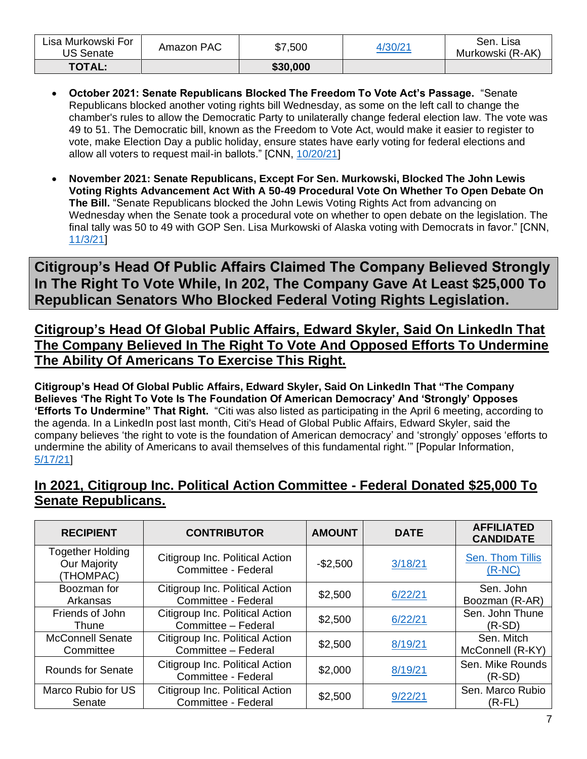| Lisa Murkowski For<br><b>US Senate</b> | Amazon PAC | \$7,500  | <i>:/</i> 30/21 | Sen. Lisa<br>Murkowski (R-AK) |
|----------------------------------------|------------|----------|-----------------|-------------------------------|
| <b>TOTAL:</b>                          |            | \$30,000 |                 |                               |

- **October 2021: Senate Republicans Blocked The Freedom To Vote Act's Passage.** "Senate Republicans blocked another voting rights bill Wednesday, as some on the left call to change the chamber's rules to allow the Democratic Party to unilaterally change federal election law. The vote was 49 to 51. The Democratic bill, known as the Freedom to Vote Act, would make it easier to register to vote, make Election Day a public holiday, ensure states have early voting for federal elections and allow all voters to request mail-in ballots." [CNN, [10/20/21\]](https://www.cnn.com/2021/10/20/politics/senate-freedom-to-vote-act-republicans/index.html)
- **November 2021: Senate Republicans, Except For Sen. Murkowski, Blocked The John Lewis Voting Rights Advancement Act With A 50-49 Procedural Vote On Whether To Open Debate On The Bill.** "Senate Republicans blocked the John Lewis Voting Rights Act from advancing on Wednesday when the Senate took a procedural vote on whether to open debate on the legislation. The final tally was 50 to 49 with GOP Sen. Lisa Murkowski of Alaska voting with Democrats in favor." [CNN, [11/3/21\]](https://www.cnn.com/2021/11/03/politics/john-lewis-voting-rights-act-senate-vote/index.html)

**Citigroup's Head Of Public Affairs Claimed The Company Believed Strongly In The Right To Vote While, In 202, The Company Gave At Least \$25,000 To Republican Senators Who Blocked Federal Voting Rights Legislation.**

**Citigroup's Head Of Global Public Affairs, Edward Skyler, Said On LinkedIn That The Company Believed In The Right To Vote And Opposed Efforts To Undermine The Ability Of Americans To Exercise This Right.** 

**Citigroup's Head Of Global Public Affairs, Edward Skyler, Said On LinkedIn That "The Company Believes 'The Right To Vote Is The Foundation Of American Democracy' And 'Strongly' Opposes 'Efforts To Undermine" That Right.** "Citi was also listed as participating in the April 6 meeting, according to the agenda. In a LinkedIn post last month, Citi's Head of Global Public Affairs, Edward Skyler, said the company believes 'the right to vote is the foundation of American democracy' and 'strongly' opposes 'efforts to undermine the ability of Americans to avail themselves of this fundamental right.'" [Popular Information, [5/17/21\]](https://popular.info/p/google-deloitte-and-citigroup-quietly)

### **In 2021, Citigroup Inc. Political Action Committee - Federal Donated \$25,000 To Senate Republicans.**

| <b>RECIPIENT</b>                                     | <b>CONTRIBUTOR</b>                                     | <b>AMOUNT</b> | <b>DATE</b> | <b>AFFILIATED</b><br><b>CANDIDATE</b> |
|------------------------------------------------------|--------------------------------------------------------|---------------|-------------|---------------------------------------|
| <b>Together Holding</b><br>Our Majority<br>(THOMPAC) | Citigroup Inc. Political Action<br>Committee - Federal | $-$2,500$     | 3/18/21     | Sen. Thom Tillis<br>$(R-NC)$          |
| Boozman for<br>Arkansas                              | Citigroup Inc. Political Action<br>Committee - Federal | \$2,500       | 6/22/21     | Sen. John<br>Boozman (R-AR)           |
| Friends of John<br>Thune                             | Citigroup Inc. Political Action<br>Committee - Federal | \$2,500       | 6/22/21     | Sen. John Thune<br>$(R-SD)$           |
| <b>McConnell Senate</b><br>Committee                 | Citigroup Inc. Political Action<br>Committee - Federal | \$2,500       | 8/19/21     | Sen. Mitch<br>McConnell (R-KY)        |
| <b>Rounds for Senate</b>                             | Citigroup Inc. Political Action<br>Committee - Federal | \$2,000       | 8/19/21     | Sen. Mike Rounds<br>$(R-SD)$          |
| Marco Rubio for US<br>Senate                         | Citigroup Inc. Political Action<br>Committee - Federal | \$2,500       | 9/22/21     | Sen. Marco Rubio<br>(R-FL)            |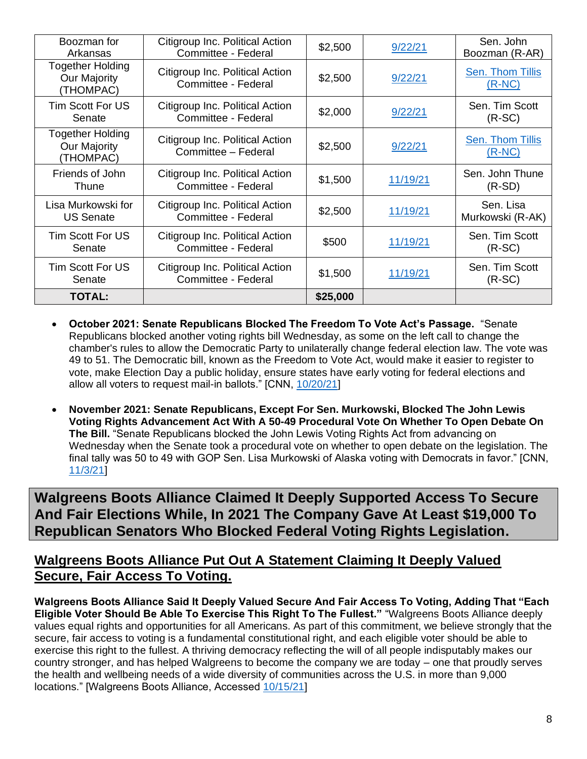| Boozman for<br>Arkansas                                     | Citigroup Inc. Political Action<br>Committee - Federal | \$2,500  | 9/22/21  | Sen. John<br>Boozman (R-AR)   |
|-------------------------------------------------------------|--------------------------------------------------------|----------|----------|-------------------------------|
| <b>Together Holding</b><br><b>Our Majority</b><br>(THOMPAC) | Citigroup Inc. Political Action<br>Committee - Federal | \$2,500  | 9/22/21  | Sen. Thom Tillis<br>$(R-NC)$  |
| <b>Tim Scott For US</b><br>Senate                           | Citigroup Inc. Political Action<br>Committee - Federal | \$2,000  | 9/22/21  | Sen. Tim Scott<br>$(R-SC)$    |
| <b>Together Holding</b><br><b>Our Majority</b><br>(THOMPAC) | Citigroup Inc. Political Action<br>Committee - Federal | \$2,500  | 9/22/21  | Sen. Thom Tillis<br>$(R-NC)$  |
| Friends of John<br>Thune                                    | Citigroup Inc. Political Action<br>Committee - Federal | \$1,500  | 11/19/21 | Sen. John Thune<br>$(R-SD)$   |
| Lisa Murkowski for<br><b>US Senate</b>                      | Citigroup Inc. Political Action<br>Committee - Federal | \$2,500  | 11/19/21 | Sen. Lisa<br>Murkowski (R-AK) |
| Tim Scott For US<br>Senate                                  | Citigroup Inc. Political Action<br>Committee - Federal | \$500    | 11/19/21 | Sen. Tim Scott<br>$(R-SC)$    |
| Tim Scott For US<br>Senate                                  | Citigroup Inc. Political Action<br>Committee - Federal | \$1,500  | 11/19/21 | Sen. Tim Scott<br>$(R-SC)$    |
| <b>TOTAL:</b>                                               |                                                        | \$25,000 |          |                               |

- **October 2021: Senate Republicans Blocked The Freedom To Vote Act's Passage.** "Senate Republicans blocked another voting rights bill Wednesday, as some on the left call to change the chamber's rules to allow the Democratic Party to unilaterally change federal election law. The vote was 49 to 51. The Democratic bill, known as the Freedom to Vote Act, would make it easier to register to vote, make Election Day a public holiday, ensure states have early voting for federal elections and allow all voters to request mail-in ballots." [CNN, [10/20/21\]](https://www.cnn.com/2021/10/20/politics/senate-freedom-to-vote-act-republicans/index.html)
- **November 2021: Senate Republicans, Except For Sen. Murkowski, Blocked The John Lewis Voting Rights Advancement Act With A 50-49 Procedural Vote On Whether To Open Debate On The Bill.** "Senate Republicans blocked the John Lewis Voting Rights Act from advancing on Wednesday when the Senate took a procedural vote on whether to open debate on the legislation. The final tally was 50 to 49 with GOP Sen. Lisa Murkowski of Alaska voting with Democrats in favor." [CNN, [11/3/21\]](https://www.cnn.com/2021/11/03/politics/john-lewis-voting-rights-act-senate-vote/index.html)

**Walgreens Boots Alliance Claimed It Deeply Supported Access To Secure And Fair Elections While, In 2021 The Company Gave At Least \$19,000 To Republican Senators Who Blocked Federal Voting Rights Legislation.**

### **Walgreens Boots Alliance Put Out A Statement Claiming It Deeply Valued Secure, Fair Access To Voting.**

**Walgreens Boots Alliance Said It Deeply Valued Secure And Fair Access To Voting, Adding That "Each Eligible Voter Should Be Able To Exercise This Right To The Fullest."** "Walgreens Boots Alliance deeply values equal rights and opportunities for all Americans. As part of this commitment, we believe strongly that the secure, fair access to voting is a fundamental constitutional right, and each eligible voter should be able to exercise this right to the fullest. A thriving democracy reflecting the will of all people indisputably makes our country stronger, and has helped Walgreens to become the company we are today – one that proudly serves the health and wellbeing needs of a wide diversity of communities across the U.S. in more than 9,000 locations." [Walgreens Boots Alliance, Accessed [10/15/21\]](https://www.walgreensbootsalliance.com/news-media/position-statements/wba-statement-access-voting-us)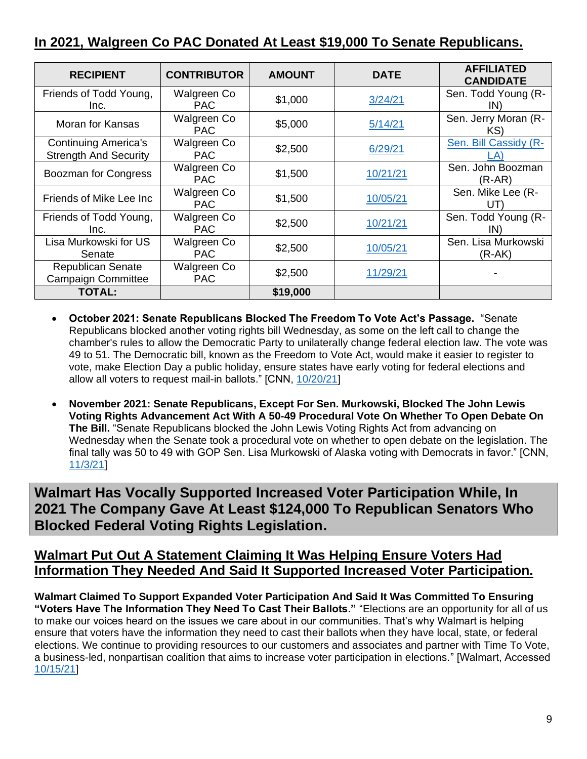### **In 2021, Walgreen Co PAC Donated At Least \$19,000 To Senate Republicans.**

| <b>RECIPIENT</b>                                            | <b>CONTRIBUTOR</b>        | <b>AMOUNT</b> | <b>DATE</b> | <b>AFFILIATED</b><br><b>CANDIDATE</b> |
|-------------------------------------------------------------|---------------------------|---------------|-------------|---------------------------------------|
| Friends of Todd Young,<br>Inc.                              | Walgreen Co<br>PAC.       | \$1,000       | 3/24/21     | Sen. Todd Young (R-<br>IN)            |
| <b>Moran for Kansas</b>                                     | Walgreen Co<br><b>PAC</b> | \$5,000       | 5/14/21     | Sen. Jerry Moran (R-<br>KS)           |
| <b>Continuing America's</b><br><b>Strength And Security</b> | Walgreen Co<br>PAC.       | \$2,500       | 6/29/21     | Sen. Bill Cassidy (R-                 |
| Boozman for Congress                                        | Walgreen Co<br>PAC.       | \$1,500       | 10/21/21    | Sen. John Boozman<br>(R-AR)           |
| Friends of Mike Lee Inc                                     | Walgreen Co<br><b>PAC</b> | \$1,500       | 10/05/21    | Sen. Mike Lee (R-<br>UT               |
| Friends of Todd Young,<br>Inc.                              | Walgreen Co<br><b>PAC</b> | \$2,500       | 10/21/21    | Sen. Todd Young (R-<br>IN)            |
| Lisa Murkowski for US<br>Senate                             | Walgreen Co<br><b>PAC</b> | \$2,500       | 10/05/21    | Sen. Lisa Murkowski<br>(R-AK)         |
| <b>Republican Senate</b><br><b>Campaign Committee</b>       | Walgreen Co<br><b>PAC</b> | \$2,500       | 11/29/21    |                                       |
| <b>TOTAL:</b>                                               |                           | \$19,000      |             |                                       |

- **October 2021: Senate Republicans Blocked The Freedom To Vote Act's Passage.** "Senate Republicans blocked another voting rights bill Wednesday, as some on the left call to change the chamber's rules to allow the Democratic Party to unilaterally change federal election law. The vote was 49 to 51. The Democratic bill, known as the Freedom to Vote Act, would make it easier to register to vote, make Election Day a public holiday, ensure states have early voting for federal elections and allow all voters to request mail-in ballots." [CNN, [10/20/21\]](https://www.cnn.com/2021/10/20/politics/senate-freedom-to-vote-act-republicans/index.html)
- **November 2021: Senate Republicans, Except For Sen. Murkowski, Blocked The John Lewis Voting Rights Advancement Act With A 50-49 Procedural Vote On Whether To Open Debate On The Bill.** "Senate Republicans blocked the John Lewis Voting Rights Act from advancing on Wednesday when the Senate took a procedural vote on whether to open debate on the legislation. The final tally was 50 to 49 with GOP Sen. Lisa Murkowski of Alaska voting with Democrats in favor." [CNN, [11/3/21\]](https://www.cnn.com/2021/11/03/politics/john-lewis-voting-rights-act-senate-vote/index.html)

**Walmart Has Vocally Supported Increased Voter Participation While, In 2021 The Company Gave At Least \$124,000 To Republican Senators Who Blocked Federal Voting Rights Legislation.**

#### **Walmart Put Out A Statement Claiming It Was Helping Ensure Voters Had Information They Needed And Said It Supported Increased Voter Participation.**

**Walmart Claimed To Support Expanded Voter Participation And Said It Was Committed To Ensuring "Voters Have The Information They Need To Cast Their Ballots."** "Elections are an opportunity for all of us to make our voices heard on the issues we care about in our communities. That's why Walmart is helping ensure that voters have the information they need to cast their ballots when they have local, state, or federal elections. We continue to providing resources to our customers and associates and partner with Time To Vote, a business-led, nonpartisan coalition that aims to increase voter participation in elections." [Walmart, Accessed [10/15/21\]](https://corporate.walmart.com/vote)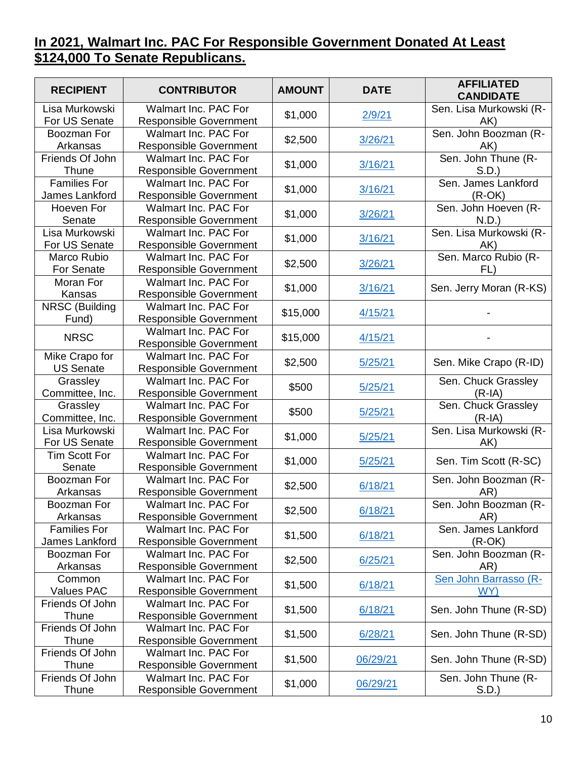## **In 2021, Walmart Inc. PAC For Responsible Government Donated At Least \$124,000 To Senate Republicans.**

| <b>RECIPIENT</b>                      | <b>CONTRIBUTOR</b>                                           | <b>AMOUNT</b> | <b>DATE</b> | <b>AFFILIATED</b><br><b>CANDIDATE</b> |
|---------------------------------------|--------------------------------------------------------------|---------------|-------------|---------------------------------------|
| Lisa Murkowski<br>For US Senate       | Walmart Inc. PAC For<br><b>Responsible Government</b>        | \$1,000       | 2/9/21      | Sen. Lisa Murkowski (R-<br>AK)        |
| Boozman For<br>Arkansas               | Walmart Inc. PAC For<br><b>Responsible Government</b>        | \$2,500       | 3/26/21     | Sen. John Boozman (R-<br>AK)          |
| Friends Of John<br>Thune              | Walmart Inc. PAC For<br><b>Responsible Government</b>        | \$1,000       | 3/16/21     | Sen. John Thune (R-<br>S.D.           |
| <b>Families For</b><br>James Lankford | Walmart Inc. PAC For<br><b>Responsible Government</b>        | \$1,000       | 3/16/21     | Sen. James Lankford<br>$(R-OK)$       |
| Hoeven For<br>Senate                  | Walmart Inc. PAC For<br><b>Responsible Government</b>        | \$1,000       | 3/26/21     | Sen. John Hoeven (R-<br>N.D.          |
| Lisa Murkowski<br>For US Senate       | Walmart Inc. PAC For<br><b>Responsible Government</b>        | \$1,000       | 3/16/21     | Sen. Lisa Murkowski (R-<br>AK)        |
| Marco Rubio<br>For Senate             | <b>Walmart Inc. PAC For</b><br><b>Responsible Government</b> | \$2,500       | 3/26/21     | Sen. Marco Rubio (R-<br>FL)           |
| Moran For<br>Kansas                   | Walmart Inc. PAC For<br><b>Responsible Government</b>        | \$1,000       | 3/16/21     | Sen. Jerry Moran (R-KS)               |
| NRSC (Building<br>Fund)               | Walmart Inc. PAC For<br><b>Responsible Government</b>        | \$15,000      | 4/15/21     |                                       |
| <b>NRSC</b>                           | <b>Walmart Inc. PAC For</b><br><b>Responsible Government</b> | \$15,000      | 4/15/21     |                                       |
| Mike Crapo for<br><b>US Senate</b>    | Walmart Inc. PAC For<br><b>Responsible Government</b>        | \$2,500       | 5/25/21     | Sen. Mike Crapo (R-ID)                |
| Grassley<br>Committee, Inc.           | Walmart Inc. PAC For<br><b>Responsible Government</b>        | \$500         | 5/25/21     | Sen. Chuck Grassley<br>$(R-IA)$       |
| Grassley<br>Committee, Inc.           | Walmart Inc. PAC For<br><b>Responsible Government</b>        | \$500         | 5/25/21     | Sen. Chuck Grassley<br>$(R-IA)$       |
| Lisa Murkowski<br>For US Senate       | Walmart Inc. PAC For<br><b>Responsible Government</b>        | \$1,000       | 5/25/21     | Sen. Lisa Murkowski (R-<br>AK)        |
| <b>Tim Scott For</b><br>Senate        | Walmart Inc. PAC For<br>Responsible Government               | \$1,000       | 5/25/21     | Sen. Tim Scott (R-SC)                 |
| Boozman For<br>Arkansas               | Walmart Inc. PAC For<br><b>Responsible Government</b>        | \$2,500       | 6/18/21     | Sen. John Boozman (R-<br>AR)          |
| Boozman For<br>Arkansas               | <b>Walmart Inc. PAC For</b><br><b>Responsible Government</b> | \$2,500       | 6/18/21     | Sen. John Boozman (R-<br>AR)          |
| <b>Families For</b><br>James Lankford | Walmart Inc. PAC For<br><b>Responsible Government</b>        | \$1,500       | 6/18/21     | Sen. James Lankford<br>$(R-OK)$       |
| Boozman For<br>Arkansas               | Walmart Inc. PAC For<br><b>Responsible Government</b>        | \$2,500       | 6/25/21     | Sen. John Boozman (R-<br>AR)          |
| Common<br>Values PAC                  | <b>Walmart Inc. PAC For</b><br><b>Responsible Government</b> | \$1,500       | 6/18/21     | Sen John Barrasso (R-<br>WY)          |
| Friends Of John<br>Thune              | Walmart Inc. PAC For<br><b>Responsible Government</b>        | \$1,500       | 6/18/21     | Sen. John Thune (R-SD)                |
| Friends Of John<br>Thune              | Walmart Inc. PAC For<br><b>Responsible Government</b>        | \$1,500       | 6/28/21     | Sen. John Thune (R-SD)                |
| Friends Of John<br>Thune              | Walmart Inc. PAC For<br><b>Responsible Government</b>        | \$1,500       | 06/29/21    | Sen. John Thune (R-SD)                |
| Friends Of John<br>Thune              | Walmart Inc. PAC For<br><b>Responsible Government</b>        | \$1,000       | 06/29/21    | Sen. John Thune (R-<br>S.D.           |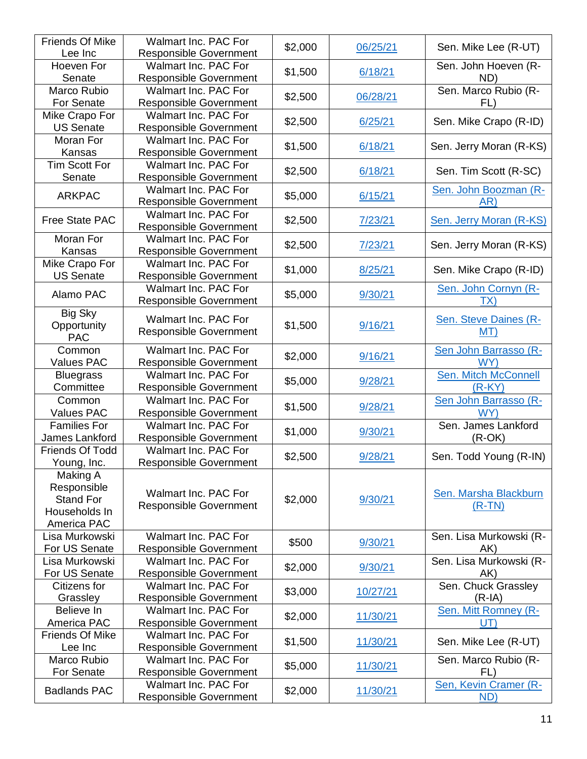| <b>Friends Of Mike</b>                                          | Walmart Inc. PAC For                                  | \$2,000 | 06/25/21 | Sen. Mike Lee (R-UT)              |
|-----------------------------------------------------------------|-------------------------------------------------------|---------|----------|-----------------------------------|
| Lee Inc                                                         | <b>Responsible Government</b>                         |         |          |                                   |
| Hoeven For<br>Senate                                            | Walmart Inc. PAC For<br><b>Responsible Government</b> | \$1,500 | 6/18/21  | Sen. John Hoeven (R-<br>ND)       |
| Marco Rubio<br>For Senate                                       | Walmart Inc. PAC For<br><b>Responsible Government</b> | \$2,500 | 06/28/21 | Sen. Marco Rubio (R-<br>FL)       |
| Mike Crapo For                                                  | Walmart Inc. PAC For                                  |         |          |                                   |
| <b>US Senate</b>                                                | <b>Responsible Government</b>                         | \$2,500 | 6/25/21  | Sen. Mike Crapo (R-ID)            |
| Moran For                                                       | Walmart Inc. PAC For                                  | \$1,500 |          |                                   |
| Kansas                                                          | <b>Responsible Government</b>                         |         | 6/18/21  | Sen. Jerry Moran (R-KS)           |
| <b>Tim Scott For</b>                                            | Walmart Inc. PAC For                                  | \$2,500 | 6/18/21  | Sen. Tim Scott (R-SC)             |
| Senate                                                          | <b>Responsible Government</b>                         |         |          |                                   |
| <b>ARKPAC</b>                                                   | Walmart Inc. PAC For                                  | \$5,000 | 6/15/21  | Sen. John Boozman (R-             |
|                                                                 | <b>Responsible Government</b>                         |         |          | AR)                               |
| <b>Free State PAC</b>                                           | Walmart Inc. PAC For                                  | \$2,500 | 7/23/21  | Sen. Jerry Moran (R-KS)           |
|                                                                 | <b>Responsible Government</b>                         |         |          |                                   |
| Moran For                                                       | Walmart Inc. PAC For                                  | \$2,500 | 7/23/21  | Sen. Jerry Moran (R-KS)           |
| Kansas                                                          | <b>Responsible Government</b>                         |         |          |                                   |
| Mike Crapo For                                                  | Walmart Inc. PAC For                                  | \$1,000 | 8/25/21  | Sen. Mike Crapo (R-ID)            |
| <b>US Senate</b>                                                | <b>Responsible Government</b>                         |         |          |                                   |
| Alamo PAC                                                       | Walmart Inc. PAC For<br><b>Responsible Government</b> | \$5,000 | 9/30/21  | Sen. John Cornyn (R-<br>TX)       |
| <b>Big Sky</b><br>Opportunity<br><b>PAC</b>                     | Walmart Inc. PAC For<br><b>Responsible Government</b> | \$1,500 | 9/16/21  | Sen. Steve Daines (R-<br>MT)      |
| Common<br><b>Values PAC</b>                                     | Walmart Inc. PAC For<br><b>Responsible Government</b> | \$2,000 | 9/16/21  | Sen John Barrasso (R-<br>WY)      |
| <b>Bluegrass</b>                                                | Walmart Inc. PAC For                                  |         |          | Sen. Mitch McConnell              |
| Committee                                                       | Responsible Government                                | \$5,000 | 9/28/21  | $(R-KY)$                          |
| Common                                                          | Walmart Inc. PAC For                                  |         |          | Sen John Barrasso (R-             |
| Values PAC                                                      | <b>Responsible Government</b>                         | \$1,500 | 9/28/21  | WY)                               |
| <b>Families For</b>                                             | Walmart Inc. PAC For                                  |         |          | Sen. James Lankford               |
| James Lankford                                                  | <b>Responsible Government</b>                         | \$1,000 | 9/30/21  | $(R-OK)$                          |
| Friends Of Todd                                                 | Walmart Inc. PAC For                                  |         |          |                                   |
| Young, Inc.                                                     | <b>Responsible Government</b>                         | \$2,500 | 9/28/21  | Sen. Todd Young (R-IN)            |
| Making A                                                        |                                                       |         |          |                                   |
| Responsible<br><b>Stand For</b><br>Households In<br>America PAC | Walmart Inc. PAC For<br><b>Responsible Government</b> | \$2,000 | 9/30/21  | Sen. Marsha Blackburn<br>$(R-TN)$ |
| Lisa Murkowski                                                  | Walmart Inc. PAC For                                  | \$500   | 9/30/21  | Sen. Lisa Murkowski (R-           |
| For US Senate                                                   | <b>Responsible Government</b>                         |         |          | AK)                               |
| Lisa Murkowski                                                  | Walmart Inc. PAC For                                  | \$2,000 | 9/30/21  | Sen. Lisa Murkowski (R-           |
| For US Senate                                                   | <b>Responsible Government</b>                         |         |          | AK)                               |
| Citizens for                                                    | Walmart Inc. PAC For                                  | \$3,000 | 10/27/21 | Sen. Chuck Grassley               |
| Grassley                                                        | <b>Responsible Government</b>                         |         |          | $(R-IA)$                          |
| Believe In                                                      | Walmart Inc. PAC For                                  | \$2,000 | 11/30/21 | Sen. Mitt Romney (R-              |
| America PAC                                                     | <b>Responsible Government</b>                         |         |          | UT)                               |
| <b>Friends Of Mike</b>                                          | Walmart Inc. PAC For                                  | \$1,500 | 11/30/21 | Sen. Mike Lee (R-UT)              |
| Lee Inc                                                         | <b>Responsible Government</b>                         |         |          |                                   |
| Marco Rubio                                                     | Walmart Inc. PAC For                                  | \$5,000 | 11/30/21 | Sen. Marco Rubio (R-              |
| For Senate                                                      | Responsible Government<br><b>Walmart Inc. PAC For</b> |         |          | FL)                               |
| <b>Badlands PAC</b>                                             | <b>Responsible Government</b>                         | \$2,000 | 11/30/21 | Sen, Kevin Cramer (R-<br>ND)      |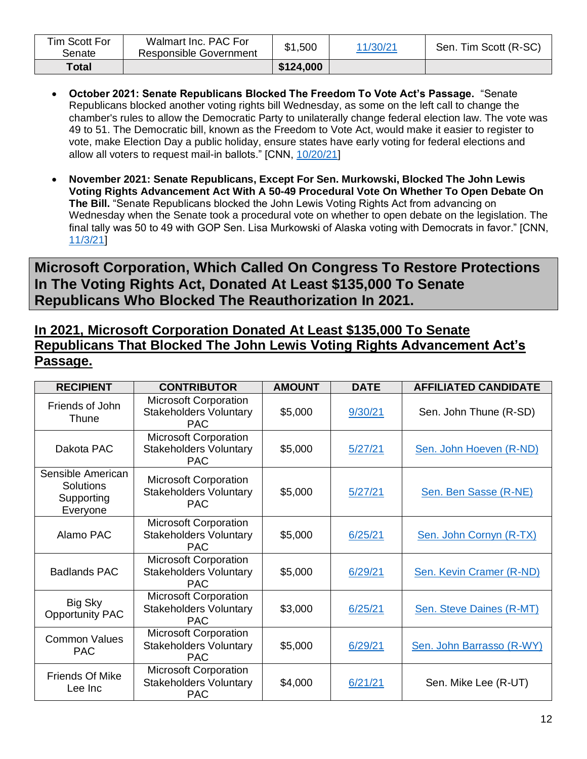| Tim Scott For<br>Senate | Walmart Inc. PAC For<br><b>Responsible Government</b> | \$1,500   | 11/30/21 | Sen. Tim Scott (R-SC) |
|-------------------------|-------------------------------------------------------|-----------|----------|-----------------------|
| <b>Total</b>            |                                                       | \$124,000 |          |                       |

- **October 2021: Senate Republicans Blocked The Freedom To Vote Act's Passage.** "Senate Republicans blocked another voting rights bill Wednesday, as some on the left call to change the chamber's rules to allow the Democratic Party to unilaterally change federal election law. The vote was 49 to 51. The Democratic bill, known as the Freedom to Vote Act, would make it easier to register to vote, make Election Day a public holiday, ensure states have early voting for federal elections and allow all voters to request mail-in ballots." [CNN, [10/20/21\]](https://www.cnn.com/2021/10/20/politics/senate-freedom-to-vote-act-republicans/index.html)
- **November 2021: Senate Republicans, Except For Sen. Murkowski, Blocked The John Lewis Voting Rights Advancement Act With A 50-49 Procedural Vote On Whether To Open Debate On The Bill.** "Senate Republicans blocked the John Lewis Voting Rights Act from advancing on Wednesday when the Senate took a procedural vote on whether to open debate on the legislation. The final tally was 50 to 49 with GOP Sen. Lisa Murkowski of Alaska voting with Democrats in favor." [CNN, [11/3/21\]](https://www.cnn.com/2021/11/03/politics/john-lewis-voting-rights-act-senate-vote/index.html)

**Microsoft Corporation, Which Called On Congress To Restore Protections In The Voting Rights Act, Donated At Least \$135,000 To Senate Republicans Who Blocked The Reauthorization In 2021.**

### **In 2021, Microsoft Corporation Donated At Least \$135,000 To Senate Republicans That Blocked The John Lewis Voting Rights Advancement Act's Passage.**

| <b>RECIPIENT</b>                                         | <b>CONTRIBUTOR</b>                                                          | <b>AMOUNT</b> | <b>DATE</b> | <b>AFFILIATED CANDIDATE</b> |
|----------------------------------------------------------|-----------------------------------------------------------------------------|---------------|-------------|-----------------------------|
| Friends of John<br>Thune                                 | <b>Microsoft Corporation</b><br><b>Stakeholders Voluntary</b><br><b>PAC</b> | \$5,000       | 9/30/21     | Sen. John Thune (R-SD)      |
| Dakota PAC                                               | <b>Microsoft Corporation</b><br><b>Stakeholders Voluntary</b><br><b>PAC</b> | \$5,000       | 5/27/21     | Sen. John Hoeven (R-ND)     |
| Sensible American<br>Solutions<br>Supporting<br>Everyone | <b>Microsoft Corporation</b><br><b>Stakeholders Voluntary</b><br><b>PAC</b> | \$5,000       | 5/27/21     | Sen. Ben Sasse (R-NE)       |
| Alamo PAC                                                | <b>Microsoft Corporation</b><br><b>Stakeholders Voluntary</b><br><b>PAC</b> | \$5,000       | 6/25/21     | Sen. John Cornyn (R-TX)     |
| <b>Badlands PAC</b>                                      | <b>Microsoft Corporation</b><br><b>Stakeholders Voluntary</b><br><b>PAC</b> | \$5,000       | 6/29/21     | Sen. Kevin Cramer (R-ND)    |
| Big Sky<br><b>Opportunity PAC</b>                        | <b>Microsoft Corporation</b><br><b>Stakeholders Voluntary</b><br><b>PAC</b> | \$3,000       | 6/25/21     | Sen. Steve Daines (R-MT)    |
| <b>Common Values</b><br><b>PAC</b>                       | <b>Microsoft Corporation</b><br><b>Stakeholders Voluntary</b><br><b>PAC</b> | \$5,000       | 6/29/21     | Sen. John Barrasso (R-WY)   |
| <b>Friends Of Mike</b><br>Lee Inc                        | <b>Microsoft Corporation</b><br><b>Stakeholders Voluntary</b><br><b>PAC</b> | \$4,000       | 6/21/21     | Sen. Mike Lee (R-UT)        |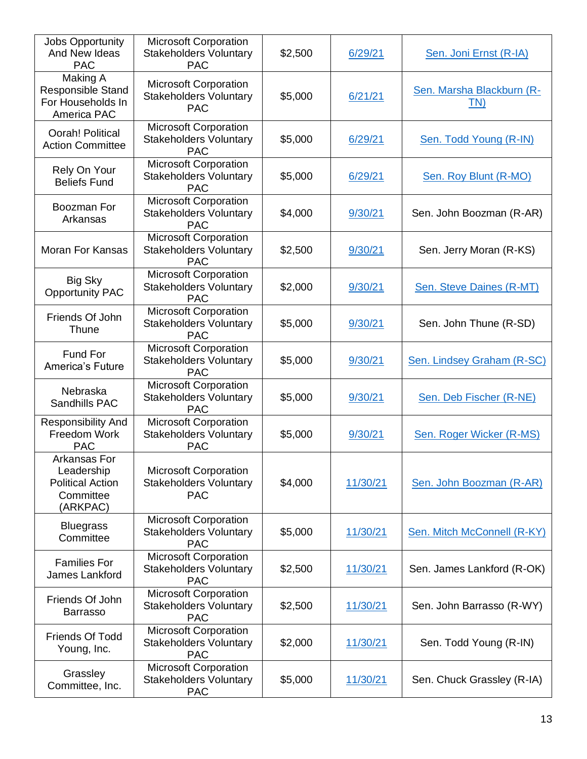| <b>Jobs Opportunity</b><br>And New Ideas<br><b>PAC</b>                         | <b>Microsoft Corporation</b><br><b>Stakeholders Voluntary</b><br><b>PAC</b> | \$2,500 | 6/29/21  | Sen. Joni Ernst (R-IA)           |
|--------------------------------------------------------------------------------|-----------------------------------------------------------------------------|---------|----------|----------------------------------|
| Making A<br>Responsible Stand<br>For Households In<br>America PAC              | <b>Microsoft Corporation</b><br><b>Stakeholders Voluntary</b><br><b>PAC</b> | \$5,000 | 6/21/21  | Sen. Marsha Blackburn (R-<br>TN) |
| Oorah! Political<br><b>Action Committee</b>                                    | <b>Microsoft Corporation</b><br><b>Stakeholders Voluntary</b><br><b>PAC</b> | \$5,000 | 6/29/21  | Sen. Todd Young (R-IN)           |
| Rely On Your<br><b>Beliefs Fund</b>                                            | <b>Microsoft Corporation</b><br><b>Stakeholders Voluntary</b><br><b>PAC</b> | \$5,000 | 6/29/21  | <b>Sen. Roy Blunt (R-MO)</b>     |
| Boozman For<br>Arkansas                                                        | <b>Microsoft Corporation</b><br><b>Stakeholders Voluntary</b><br><b>PAC</b> | \$4,000 | 9/30/21  | Sen. John Boozman (R-AR)         |
| <b>Moran For Kansas</b>                                                        | <b>Microsoft Corporation</b><br><b>Stakeholders Voluntary</b><br><b>PAC</b> | \$2,500 | 9/30/21  | Sen. Jerry Moran (R-KS)          |
| Big Sky<br><b>Opportunity PAC</b>                                              | Microsoft Corporation<br><b>Stakeholders Voluntary</b><br><b>PAC</b>        | \$2,000 | 9/30/21  | Sen. Steve Daines (R-MT)         |
| Friends Of John<br>Thune                                                       | <b>Microsoft Corporation</b><br><b>Stakeholders Voluntary</b><br><b>PAC</b> | \$5,000 | 9/30/21  | Sen. John Thune (R-SD)           |
| Fund For<br>America's Future                                                   | <b>Microsoft Corporation</b><br><b>Stakeholders Voluntary</b><br><b>PAC</b> | \$5,000 | 9/30/21  | Sen. Lindsey Graham (R-SC)       |
| Nebraska<br>Sandhills PAC                                                      | <b>Microsoft Corporation</b><br><b>Stakeholders Voluntary</b><br><b>PAC</b> | \$5,000 | 9/30/21  | Sen. Deb Fischer (R-NE)          |
| Responsibility And<br>Freedom Work<br><b>PAC</b>                               | <b>Microsoft Corporation</b><br><b>Stakeholders Voluntary</b><br><b>PAC</b> | \$5,000 | 9/30/21  | Sen. Roger Wicker (R-MS)         |
| Arkansas For<br>Leadership<br><b>Political Action</b><br>Committee<br>(ARKPAC) | <b>Microsoft Corporation</b><br><b>Stakeholders Voluntary</b><br><b>PAC</b> | \$4,000 | 11/30/21 | Sen. John Boozman (R-AR)         |
| <b>Bluegrass</b><br>Committee                                                  | <b>Microsoft Corporation</b><br><b>Stakeholders Voluntary</b><br><b>PAC</b> | \$5,000 | 11/30/21 | Sen. Mitch McConnell (R-KY)      |
| <b>Families For</b><br>James Lankford                                          | <b>Microsoft Corporation</b><br><b>Stakeholders Voluntary</b><br><b>PAC</b> | \$2,500 | 11/30/21 | Sen. James Lankford (R-OK)       |
| Friends Of John<br><b>Barrasso</b>                                             | <b>Microsoft Corporation</b><br><b>Stakeholders Voluntary</b><br><b>PAC</b> | \$2,500 | 11/30/21 | Sen. John Barrasso (R-WY)        |
| Friends Of Todd<br>Young, Inc.                                                 | <b>Microsoft Corporation</b><br><b>Stakeholders Voluntary</b><br><b>PAC</b> | \$2,000 | 11/30/21 | Sen. Todd Young (R-IN)           |
| Grassley<br>Committee, Inc.                                                    | <b>Microsoft Corporation</b><br><b>Stakeholders Voluntary</b><br><b>PAC</b> | \$5,000 | 11/30/21 | Sen. Chuck Grassley (R-IA)       |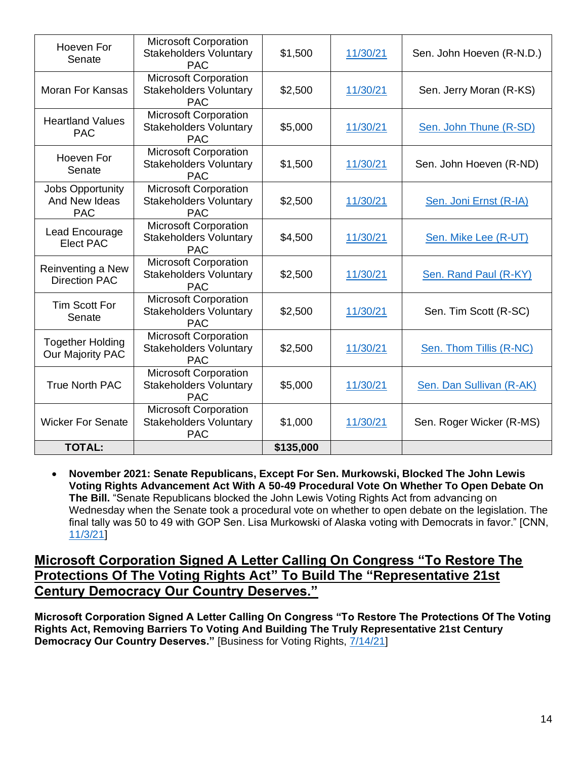| Hoeven For<br>Senate                                   | <b>Microsoft Corporation</b><br><b>Stakeholders Voluntary</b><br><b>PAC</b> | \$1,500   | 11/30/21 | Sen. John Hoeven (R-N.D.) |
|--------------------------------------------------------|-----------------------------------------------------------------------------|-----------|----------|---------------------------|
| <b>Moran For Kansas</b>                                | <b>Microsoft Corporation</b><br><b>Stakeholders Voluntary</b><br><b>PAC</b> | \$2,500   | 11/30/21 | Sen. Jerry Moran (R-KS)   |
| <b>Heartland Values</b><br><b>PAC</b>                  | <b>Microsoft Corporation</b><br><b>Stakeholders Voluntary</b><br><b>PAC</b> | \$5,000   | 11/30/21 | Sen. John Thune (R-SD)    |
| Hoeven For<br>Senate                                   | <b>Microsoft Corporation</b><br><b>Stakeholders Voluntary</b><br><b>PAC</b> | \$1,500   | 11/30/21 | Sen. John Hoeven (R-ND)   |
| <b>Jobs Opportunity</b><br>And New Ideas<br><b>PAC</b> | <b>Microsoft Corporation</b><br><b>Stakeholders Voluntary</b><br><b>PAC</b> | \$2,500   | 11/30/21 | Sen. Joni Ernst (R-IA)    |
| Lead Encourage<br><b>Elect PAC</b>                     | <b>Microsoft Corporation</b><br><b>Stakeholders Voluntary</b><br><b>PAC</b> | \$4,500   | 11/30/21 | Sen. Mike Lee (R-UT)      |
| Reinventing a New<br><b>Direction PAC</b>              | <b>Microsoft Corporation</b><br><b>Stakeholders Voluntary</b><br><b>PAC</b> | \$2,500   | 11/30/21 | Sen. Rand Paul (R-KY)     |
| <b>Tim Scott For</b><br>Senate                         | <b>Microsoft Corporation</b><br><b>Stakeholders Voluntary</b><br><b>PAC</b> | \$2,500   | 11/30/21 | Sen. Tim Scott (R-SC)     |
| <b>Together Holding</b><br>Our Majority PAC            | <b>Microsoft Corporation</b><br><b>Stakeholders Voluntary</b><br><b>PAC</b> | \$2,500   | 11/30/21 | Sen. Thom Tillis (R-NC)   |
| <b>True North PAC</b>                                  | <b>Microsoft Corporation</b><br><b>Stakeholders Voluntary</b><br><b>PAC</b> | \$5,000   | 11/30/21 | Sen. Dan Sullivan (R-AK)  |
| <b>Wicker For Senate</b>                               | <b>Microsoft Corporation</b><br><b>Stakeholders Voluntary</b><br><b>PAC</b> | \$1,000   | 11/30/21 | Sen. Roger Wicker (R-MS)  |
| <b>TOTAL:</b>                                          |                                                                             | \$135,000 |          |                           |

• **November 2021: Senate Republicans, Except For Sen. Murkowski, Blocked The John Lewis Voting Rights Advancement Act With A 50-49 Procedural Vote On Whether To Open Debate On The Bill.** "Senate Republicans blocked the John Lewis Voting Rights Act from advancing on Wednesday when the Senate took a procedural vote on whether to open debate on the legislation. The final tally was 50 to 49 with GOP Sen. Lisa Murkowski of Alaska voting with Democrats in favor." [CNN, [11/3/21\]](https://www.cnn.com/2021/11/03/politics/john-lewis-voting-rights-act-senate-vote/index.html)

### **Microsoft Corporation Signed A Letter Calling On Congress "To Restore The Protections Of The Voting Rights Act" To Build The "Representative 21st Century Democracy Our Country Deserves."**

**Microsoft Corporation Signed A Letter Calling On Congress "To Restore The Protections Of The Voting Rights Act, Removing Barriers To Voting And Building The Truly Representative 21st Century Democracy Our Country Deserves."** [Business for Voting Rights, [7/14/21\]](https://www.businessforvotingrights.com/letter-to-congress)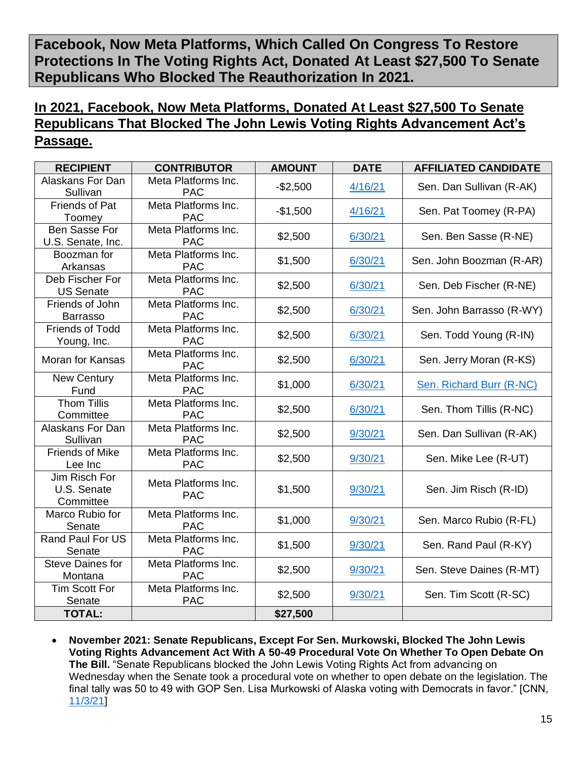**Facebook, Now Meta Platforms, Which Called On Congress To Restore Protections In The Voting Rights Act, Donated At Least \$27,500 To Senate Republicans Who Blocked The Reauthorization In 2021.**

### **In 2021, Facebook, Now Meta Platforms, Donated At Least \$27,500 To Senate Republicans That Blocked The John Lewis Voting Rights Advancement Act's Passage.**

| <b>RECIPIENT</b>                          | <b>CONTRIBUTOR</b>                | <b>AMOUNT</b> | <b>DATE</b> | <b>AFFILIATED CANDIDATE</b> |
|-------------------------------------------|-----------------------------------|---------------|-------------|-----------------------------|
| Alaskans For Dan<br>Sullivan              | Meta Platforms Inc.<br><b>PAC</b> | $-$2,500$     | 4/16/21     | Sen. Dan Sullivan (R-AK)    |
| Friends of Pat<br>Toomey                  | Meta Platforms Inc.<br><b>PAC</b> | $-$1,500$     | 4/16/21     | Sen. Pat Toomey (R-PA)      |
| Ben Sasse For<br>U.S. Senate, Inc.        | Meta Platforms Inc.<br><b>PAC</b> | \$2,500       | 6/30/21     | Sen. Ben Sasse (R-NE)       |
| Boozman for<br>Arkansas                   | Meta Platforms Inc.<br><b>PAC</b> | \$1,500       | 6/30/21     | Sen. John Boozman (R-AR)    |
| Deb Fischer For<br><b>US Senate</b>       | Meta Platforms Inc.<br><b>PAC</b> | \$2,500       | 6/30/21     | Sen. Deb Fischer (R-NE)     |
| Friends of John<br><b>Barrasso</b>        | Meta Platforms Inc.<br><b>PAC</b> | \$2,500       | 6/30/21     | Sen. John Barrasso (R-WY)   |
| <b>Friends of Todd</b><br>Young, Inc.     | Meta Platforms Inc.<br><b>PAC</b> | \$2,500       | 6/30/21     | Sen. Todd Young (R-IN)      |
| Moran for Kansas                          | Meta Platforms Inc.<br><b>PAC</b> | \$2,500       | 6/30/21     | Sen. Jerry Moran (R-KS)     |
| <b>New Century</b><br>Fund                | Meta Platforms Inc.<br><b>PAC</b> | \$1,000       | 6/30/21     | Sen. Richard Burr (R-NC)    |
| <b>Thom Tillis</b><br>Committee           | Meta Platforms Inc.<br><b>PAC</b> | \$2,500       | 6/30/21     | Sen. Thom Tillis (R-NC)     |
| Alaskans For Dan<br>Sullivan              | Meta Platforms Inc.<br><b>PAC</b> | \$2,500       | 9/30/21     | Sen. Dan Sullivan (R-AK)    |
| <b>Friends of Mike</b><br>Lee Inc         | Meta Platforms Inc.<br><b>PAC</b> | \$2,500       | 9/30/21     | Sen. Mike Lee (R-UT)        |
| Jim Risch For<br>U.S. Senate<br>Committee | Meta Platforms Inc.<br><b>PAC</b> | \$1,500       | 9/30/21     | Sen. Jim Risch (R-ID)       |
| Marco Rubio for<br>Senate                 | Meta Platforms Inc.<br><b>PAC</b> | \$1,000       | 9/30/21     | Sen. Marco Rubio (R-FL)     |
| Rand Paul For US<br>Senate                | Meta Platforms Inc.<br><b>PAC</b> | \$1,500       | 9/30/21     | Sen. Rand Paul (R-KY)       |
| <b>Steve Daines for</b><br>Montana        | Meta Platforms Inc.<br><b>PAC</b> | \$2,500       | 9/30/21     | Sen. Steve Daines (R-MT)    |
| <b>Tim Scott For</b><br>Senate            | Meta Platforms Inc.<br><b>PAC</b> | \$2,500       | 9/30/21     | Sen. Tim Scott (R-SC)       |
| <b>TOTAL:</b>                             |                                   | \$27,500      |             |                             |

• **November 2021: Senate Republicans, Except For Sen. Murkowski, Blocked The John Lewis Voting Rights Advancement Act With A 50-49 Procedural Vote On Whether To Open Debate On The Bill.** "Senate Republicans blocked the John Lewis Voting Rights Act from advancing on Wednesday when the Senate took a procedural vote on whether to open debate on the legislation. The final tally was 50 to 49 with GOP Sen. Lisa Murkowski of Alaska voting with Democrats in favor." [CNN, [11/3/21\]](https://www.cnn.com/2021/11/03/politics/john-lewis-voting-rights-act-senate-vote/index.html)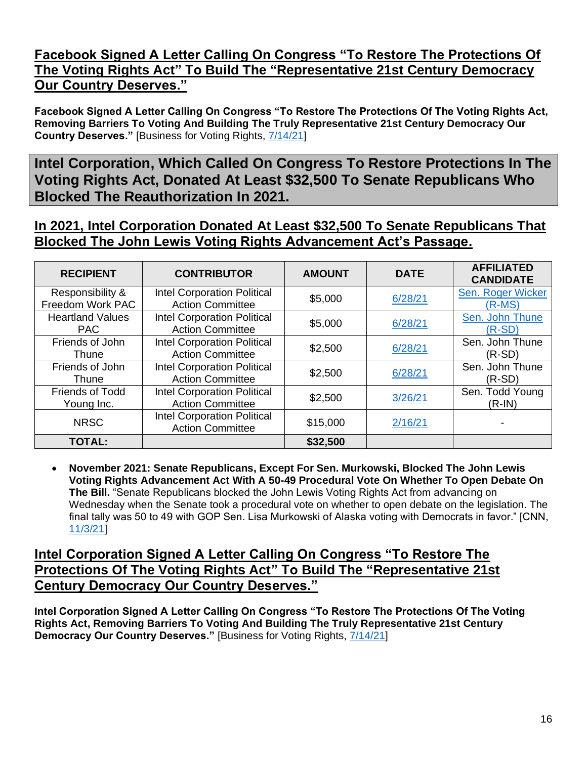### **Facebook Signed A Letter Calling On Congress "To Restore The Protections Of The Voting Rights Act" To Build The "Representative 21st Century Democracy Our Country Deserves."**

**Facebook Signed A Letter Calling On Congress "To Restore The Protections Of The Voting Rights Act, Removing Barriers To Voting And Building The Truly Representative 21st Century Democracy Our Country Deserves."** [Business for Voting Rights, [7/14/21\]](https://www.businessforvotingrights.com/letter-to-congress)

**Intel Corporation, Which Called On Congress To Restore Protections In The Voting Rights Act, Donated At Least \$32,500 To Senate Republicans Who Blocked The Reauthorization In 2021.**

### **In 2021, Intel Corporation Donated At Least \$32,500 To Senate Republicans That Blocked The John Lewis Voting Rights Advancement Act's Passage.**

| <b>RECIPIENT</b>                      | <b>CONTRIBUTOR</b>                                            | <b>AMOUNT</b> | <b>DATE</b> | <b>AFFILIATED</b><br><b>CANDIDATE</b> |
|---------------------------------------|---------------------------------------------------------------|---------------|-------------|---------------------------------------|
| Responsibility &<br>Freedom Work PAC  | <b>Intel Corporation Political</b><br><b>Action Committee</b> | \$5,000       | 6/28/21     | Sen. Roger Wicker<br>$(R-MS)$         |
| <b>Heartland Values</b><br><b>PAC</b> | <b>Intel Corporation Political</b><br><b>Action Committee</b> | \$5,000       | 6/28/21     | Sen. John Thune<br>$(R-SD)$           |
| Friends of John<br>Thune              | <b>Intel Corporation Political</b><br><b>Action Committee</b> | \$2,500       | 6/28/21     | Sen. John Thune<br>$(R-SD)$           |
| Friends of John<br>Thune              | <b>Intel Corporation Political</b><br><b>Action Committee</b> | \$2,500       | 6/28/21     | Sen. John Thune<br>$(R-SD)$           |
| <b>Friends of Todd</b><br>Young Inc.  | <b>Intel Corporation Political</b><br><b>Action Committee</b> | \$2,500       | 3/26/21     | Sen. Todd Young<br>$(R-IN)$           |
| <b>NRSC</b>                           | <b>Intel Corporation Political</b><br><b>Action Committee</b> | \$15,000      | 2/16/21     |                                       |
| <b>TOTAL:</b>                         |                                                               | \$32,500      |             |                                       |

• **November 2021: Senate Republicans, Except For Sen. Murkowski, Blocked The John Lewis Voting Rights Advancement Act With A 50-49 Procedural Vote On Whether To Open Debate On The Bill.** "Senate Republicans blocked the John Lewis Voting Rights Act from advancing on Wednesday when the Senate took a procedural vote on whether to open debate on the legislation. The final tally was 50 to 49 with GOP Sen. Lisa Murkowski of Alaska voting with Democrats in favor." [CNN, [11/3/21\]](https://www.cnn.com/2021/11/03/politics/john-lewis-voting-rights-act-senate-vote/index.html)

#### **Intel Corporation Signed A Letter Calling On Congress "To Restore The Protections Of The Voting Rights Act" To Build The "Representative 21st Century Democracy Our Country Deserves."**

**Intel Corporation Signed A Letter Calling On Congress "To Restore The Protections Of The Voting Rights Act, Removing Barriers To Voting And Building The Truly Representative 21st Century Democracy Our Country Deserves."** [Business for Voting Rights, [7/14/21\]](https://www.businessforvotingrights.com/letter-to-congress)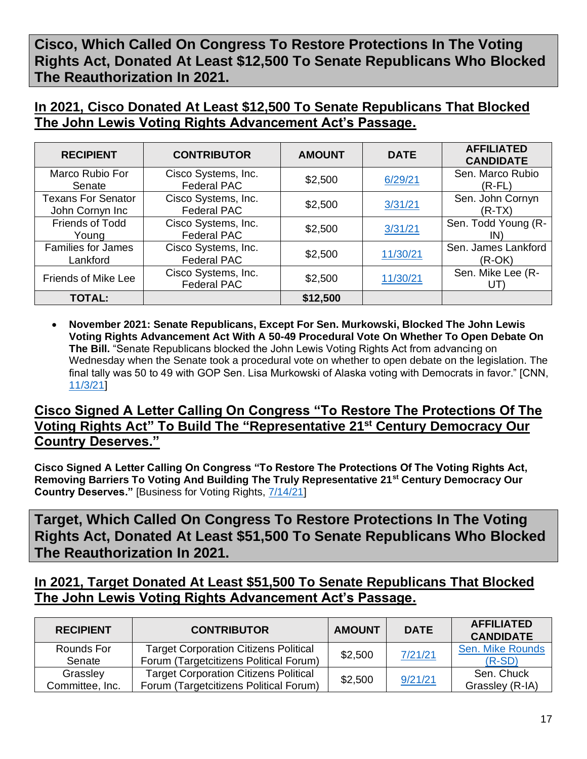**Cisco, Which Called On Congress To Restore Protections In The Voting Rights Act, Donated At Least \$12,500 To Senate Republicans Who Blocked The Reauthorization In 2021.**

### **In 2021, Cisco Donated At Least \$12,500 To Senate Republicans That Blocked The John Lewis Voting Rights Advancement Act's Passage.**

| <b>RECIPIENT</b>                             | <b>CONTRIBUTOR</b>                        | <b>AMOUNT</b> | <b>DATE</b> | <b>AFFILIATED</b><br><b>CANDIDATE</b> |
|----------------------------------------------|-------------------------------------------|---------------|-------------|---------------------------------------|
| Marco Rubio For<br>Senate                    | Cisco Systems, Inc.<br><b>Federal PAC</b> | \$2,500       | 6/29/21     | Sen. Marco Rubio<br>(R-FL)            |
| <b>Texans For Senator</b><br>John Cornyn Inc | Cisco Systems, Inc.<br><b>Federal PAC</b> | \$2,500       | 3/31/21     | Sen. John Cornyn<br>$(R-TX)$          |
| Friends of Todd<br>Young                     | Cisco Systems, Inc.<br><b>Federal PAC</b> | \$2,500       | 3/31/21     | Sen. Todd Young (R-<br>IN)            |
| <b>Families for James</b><br>Lankford        | Cisco Systems, Inc.<br><b>Federal PAC</b> | \$2,500       | 11/30/21    | Sen. James Lankford<br>$(R-OK)$       |
| Friends of Mike Lee                          | Cisco Systems, Inc.<br><b>Federal PAC</b> | \$2,500       | 11/30/21    | Sen. Mike Lee (R-<br>UT.              |
| <b>TOTAL:</b>                                |                                           | \$12,500      |             |                                       |

• **November 2021: Senate Republicans, Except For Sen. Murkowski, Blocked The John Lewis Voting Rights Advancement Act With A 50-49 Procedural Vote On Whether To Open Debate On The Bill.** "Senate Republicans blocked the John Lewis Voting Rights Act from advancing on Wednesday when the Senate took a procedural vote on whether to open debate on the legislation. The final tally was 50 to 49 with GOP Sen. Lisa Murkowski of Alaska voting with Democrats in favor." [CNN, [11/3/21\]](https://www.cnn.com/2021/11/03/politics/john-lewis-voting-rights-act-senate-vote/index.html)

#### **Cisco Signed A Letter Calling On Congress "To Restore The Protections Of The Voting Rights Act" To Build The "Representative 21st Century Democracy Our Country Deserves."**

**Cisco Signed A Letter Calling On Congress "To Restore The Protections Of The Voting Rights Act, Removing Barriers To Voting And Building The Truly Representative 21st Century Democracy Our Country Deserves."** [Business for Voting Rights, [7/14/21\]](https://www.businessforvotingrights.com/letter-to-congress)

**Target, Which Called On Congress To Restore Protections In The Voting Rights Act, Donated At Least \$51,500 To Senate Republicans Who Blocked The Reauthorization In 2021.**

### **In 2021, Target Donated At Least \$51,500 To Senate Republicans That Blocked The John Lewis Voting Rights Advancement Act's Passage.**

| <b>RECIPIENT</b>     | <b>CONTRIBUTOR</b>                                                                     | <b>AMOUNT</b> | <b>DATE</b> | <b>AFFILIATED</b><br><b>CANDIDATE</b> |
|----------------------|----------------------------------------------------------------------------------------|---------------|-------------|---------------------------------------|
| Rounds For<br>Senate | <b>Target Corporation Citizens Political</b><br>Forum (Targetcitizens Political Forum) | \$2,500       | 7/21/21     | <b>Sen. Mike Rounds</b><br>$(R-SD)$   |
| Grassley             | <b>Target Corporation Citizens Political</b>                                           | \$2,500       | 9/21/21     | Sen. Chuck                            |
| Committee, Inc.      | Forum (Targetcitizens Political Forum)                                                 |               |             | Grassley (R-IA)                       |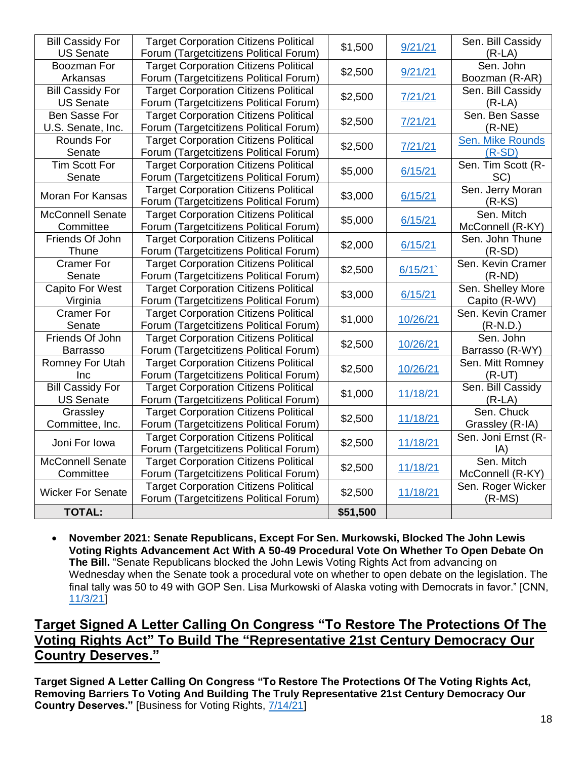| <b>Bill Cassidy For</b>  | <b>Target Corporation Citizens Political</b> |          |          | Sen. Bill Cassidy   |
|--------------------------|----------------------------------------------|----------|----------|---------------------|
| <b>US Senate</b>         | Forum (Targetcitizens Political Forum)       | \$1,500  | 9/21/21  | $(R-LA)$            |
| Boozman For              | <b>Target Corporation Citizens Political</b> |          |          | Sen. John           |
| Arkansas                 | Forum (Targetcitizens Political Forum)       | \$2,500  | 9/21/21  | Boozman (R-AR)      |
| <b>Bill Cassidy For</b>  | <b>Target Corporation Citizens Political</b> |          |          | Sen. Bill Cassidy   |
| <b>US Senate</b>         | Forum (Targetcitizens Political Forum)       | \$2,500  | 7/21/21  | $(R-LA)$            |
| Ben Sasse For            | <b>Target Corporation Citizens Political</b> |          |          | Sen. Ben Sasse      |
| U.S. Senate, Inc.        | Forum (Targetcitizens Political Forum)       | \$2,500  | 7/21/21  | $(R-NE)$            |
| Rounds For               | <b>Target Corporation Citizens Political</b> |          |          | Sen. Mike Rounds    |
| Senate                   | Forum (Targetcitizens Political Forum)       | \$2,500  | 7/21/21  | $(R-SD)$            |
| <b>Tim Scott For</b>     | <b>Target Corporation Citizens Political</b> | \$5,000  |          | Sen. Tim Scott (R-  |
| Senate                   | Forum (Targetcitizens Political Forum)       |          | 6/15/21  | SC)                 |
| <b>Moran For Kansas</b>  | <b>Target Corporation Citizens Political</b> | \$3,000  | 6/15/21  | Sen. Jerry Moran    |
|                          | Forum (Targetcitizens Political Forum)       |          |          | $(R-KS)$            |
| <b>McConnell Senate</b>  | <b>Target Corporation Citizens Political</b> | \$5,000  | 6/15/21  | Sen. Mitch          |
| Committee                | Forum (Targetcitizens Political Forum)       |          |          | McConnell (R-KY)    |
| Friends Of John          | <b>Target Corporation Citizens Political</b> | \$2,000  | 6/15/21  | Sen. John Thune     |
| Thune                    | Forum (Targetcitizens Political Forum)       |          |          | $(R-SD)$            |
| <b>Cramer For</b>        | <b>Target Corporation Citizens Political</b> | \$2,500  | 6/15/21  | Sen, Kevin Cramer   |
| Senate                   | Forum (Targetcitizens Political Forum)       |          |          | $(R-ND)$            |
| <b>Capito For West</b>   | <b>Target Corporation Citizens Political</b> | \$3,000  | 6/15/21  | Sen. Shelley More   |
| Virginia                 | Forum (Targetcitizens Political Forum)       |          |          | Capito (R-WV)       |
| <b>Cramer For</b>        | <b>Target Corporation Citizens Political</b> | \$1,000  | 10/26/21 | Sen. Kevin Cramer   |
| Senate                   | Forum (Targetcitizens Political Forum)       |          |          | $(R-N.D.)$          |
| Friends Of John          | <b>Target Corporation Citizens Political</b> | \$2,500  | 10/26/21 | Sen. John           |
| <b>Barrasso</b>          | Forum (Targetcitizens Political Forum)       |          |          | Barrasso (R-WY)     |
| Romney For Utah          | <b>Target Corporation Citizens Political</b> | \$2,500  | 10/26/21 | Sen. Mitt Romney    |
| Inc                      | Forum (Targetcitizens Political Forum)       |          |          | $(R-UT)$            |
| <b>Bill Cassidy For</b>  | <b>Target Corporation Citizens Political</b> | \$1,000  | 11/18/21 | Sen. Bill Cassidy   |
| <b>US Senate</b>         | Forum (Targetcitizens Political Forum)       |          |          | $(R-LA)$            |
| Grassley                 | <b>Target Corporation Citizens Political</b> | \$2,500  | 11/18/21 | Sen. Chuck          |
| Committee, Inc.          | Forum (Targetcitizens Political Forum)       |          |          | Grassley (R-IA)     |
| Joni For Iowa            | <b>Target Corporation Citizens Political</b> | \$2,500  | 11/18/21 | Sen. Joni Ernst (R- |
|                          | Forum (Targetcitizens Political Forum)       |          |          | IA)                 |
| <b>McConnell Senate</b>  | <b>Target Corporation Citizens Political</b> | \$2,500  | 11/18/21 | Sen. Mitch          |
| Committee                | Forum (Targetcitizens Political Forum)       |          |          | McConnell (R-KY)    |
| <b>Wicker For Senate</b> | <b>Target Corporation Citizens Political</b> | \$2,500  | 11/18/21 | Sen. Roger Wicker   |
|                          | Forum (Targetcitizens Political Forum)       |          |          | $(R-MS)$            |
| <b>TOTAL:</b>            |                                              | \$51,500 |          |                     |

• **November 2021: Senate Republicans, Except For Sen. Murkowski, Blocked The John Lewis Voting Rights Advancement Act With A 50-49 Procedural Vote On Whether To Open Debate On The Bill.** "Senate Republicans blocked the John Lewis Voting Rights Act from advancing on Wednesday when the Senate took a procedural vote on whether to open debate on the legislation. The final tally was 50 to 49 with GOP Sen. Lisa Murkowski of Alaska voting with Democrats in favor." [CNN, [11/3/21\]](https://www.cnn.com/2021/11/03/politics/john-lewis-voting-rights-act-senate-vote/index.html)

### **Target Signed A Letter Calling On Congress "To Restore The Protections Of The Voting Rights Act" To Build The "Representative 21st Century Democracy Our Country Deserves."**

**Target Signed A Letter Calling On Congress "To Restore The Protections Of The Voting Rights Act, Removing Barriers To Voting And Building The Truly Representative 21st Century Democracy Our Country Deserves."** [Business for Voting Rights, [7/14/21\]](https://www.businessforvotingrights.com/letter-to-congress)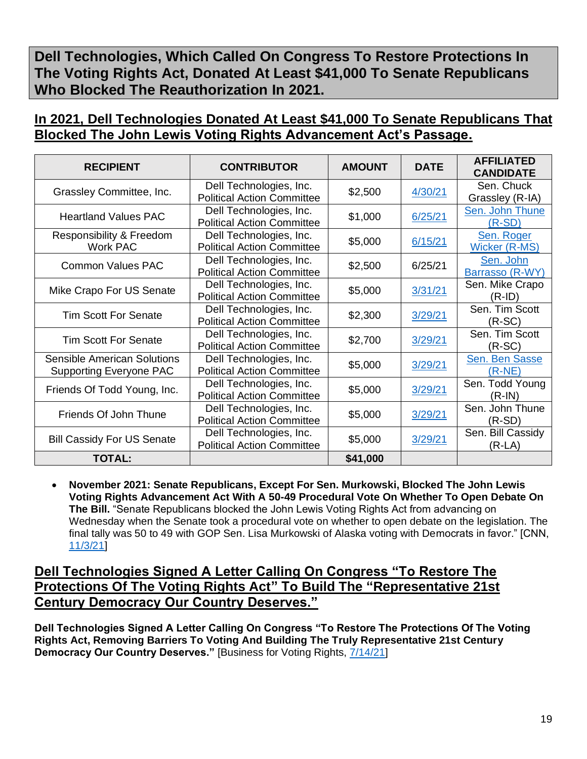**Dell Technologies, Which Called On Congress To Restore Protections In The Voting Rights Act, Donated At Least \$41,000 To Senate Republicans Who Blocked The Reauthorization In 2021.**

### **In 2021, Dell Technologies Donated At Least \$41,000 To Senate Republicans That Blocked The John Lewis Voting Rights Advancement Act's Passage.**

| <b>RECIPIENT</b>                                                     | <b>CONTRIBUTOR</b>                                           | <b>AMOUNT</b> | <b>DATE</b> | <b>AFFILIATED</b><br><b>CANDIDATE</b> |
|----------------------------------------------------------------------|--------------------------------------------------------------|---------------|-------------|---------------------------------------|
| Grassley Committee, Inc.                                             | Dell Technologies, Inc.<br><b>Political Action Committee</b> | \$2,500       | 4/30/21     | Sen. Chuck<br>Grassley (R-IA)         |
| <b>Heartland Values PAC</b>                                          | Dell Technologies, Inc.<br><b>Political Action Committee</b> | \$1,000       | 6/25/21     | Sen. John Thune<br>$(R-SD)$           |
| Responsibility & Freedom<br><b>Work PAC</b>                          | Dell Technologies, Inc.<br><b>Political Action Committee</b> | \$5,000       | 6/15/21     | Sen. Roger<br>Wicker (R-MS)           |
| <b>Common Values PAC</b>                                             | Dell Technologies, Inc.<br><b>Political Action Committee</b> | \$2,500       | 6/25/21     | Sen. John<br>Barrasso (R-WY)          |
| Mike Crapo For US Senate                                             | Dell Technologies, Inc.<br><b>Political Action Committee</b> | \$5,000       | 3/31/21     | Sen. Mike Crapo<br>$(R-ID)$           |
| <b>Tim Scott For Senate</b>                                          | Dell Technologies, Inc.<br><b>Political Action Committee</b> | \$2,300       | 3/29/21     | Sen. Tim Scott<br>$(R-SC)$            |
| <b>Tim Scott For Senate</b>                                          | Dell Technologies, Inc.<br><b>Political Action Committee</b> | \$2,700       | 3/29/21     | Sen. Tim Scott<br>$(R-SC)$            |
| <b>Sensible American Solutions</b><br><b>Supporting Everyone PAC</b> | Dell Technologies, Inc.<br><b>Political Action Committee</b> | \$5,000       | 3/29/21     | Sen. Ben Sasse<br>(R-NE)              |
| Friends Of Todd Young, Inc.                                          | Dell Technologies, Inc.<br><b>Political Action Committee</b> | \$5,000       | 3/29/21     | Sen. Todd Young<br>$(R-IN)$           |
| Friends Of John Thune                                                | Dell Technologies, Inc.<br><b>Political Action Committee</b> | \$5,000       | 3/29/21     | Sen. John Thune<br>$(R-SD)$           |
| <b>Bill Cassidy For US Senate</b>                                    | Dell Technologies, Inc.<br><b>Political Action Committee</b> | \$5,000       | 3/29/21     | Sen. Bill Cassidy<br>(R-LA)           |
| <b>TOTAL:</b>                                                        |                                                              | \$41,000      |             |                                       |

• **November 2021: Senate Republicans, Except For Sen. Murkowski, Blocked The John Lewis Voting Rights Advancement Act With A 50-49 Procedural Vote On Whether To Open Debate On The Bill.** "Senate Republicans blocked the John Lewis Voting Rights Act from advancing on Wednesday when the Senate took a procedural vote on whether to open debate on the legislation. The final tally was 50 to 49 with GOP Sen. Lisa Murkowski of Alaska voting with Democrats in favor." [CNN, [11/3/21\]](https://www.cnn.com/2021/11/03/politics/john-lewis-voting-rights-act-senate-vote/index.html)

### **Dell Technologies Signed A Letter Calling On Congress "To Restore The Protections Of The Voting Rights Act" To Build The "Representative 21st Century Democracy Our Country Deserves."**

**Dell Technologies Signed A Letter Calling On Congress "To Restore The Protections Of The Voting Rights Act, Removing Barriers To Voting And Building The Truly Representative 21st Century Democracy Our Country Deserves."** [Business for Voting Rights, [7/14/21\]](https://www.businessforvotingrights.com/letter-to-congress)